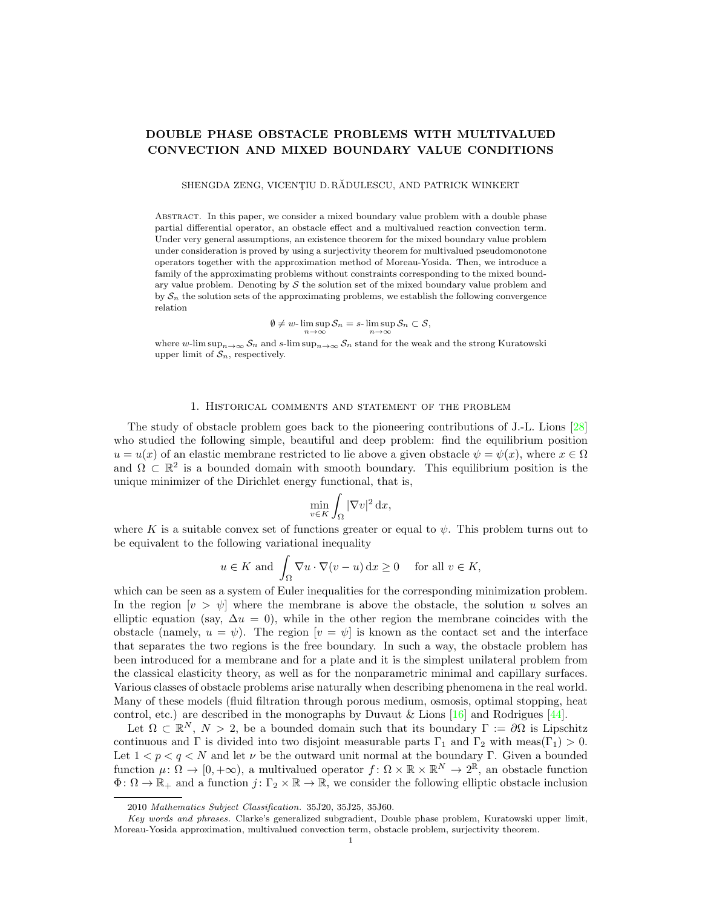# DOUBLE PHASE OBSTACLE PROBLEMS WITH MULTIVALUED CONVECTION AND MIXED BOUNDARY VALUE CONDITIONS

SHENGDA ZENG, VICENȚIU D. RĂDULESCU, AND PATRICK WINKERT

Abstract. In this paper, we consider a mixed boundary value problem with a double phase partial differential operator, an obstacle effect and a multivalued reaction convection term. Under very general assumptions, an existence theorem for the mixed boundary value problem under consideration is proved by using a surjectivity theorem for multivalued pseudomonotone operators together with the approximation method of Moreau-Yosida. Then, we introduce a family of the approximating problems without constraints corresponding to the mixed boundary value problem. Denoting by  $S$  the solution set of the mixed boundary value problem and by  $S_n$  the solution sets of the approximating problems, we establish the following convergence relation

$$
\emptyset\neq w\text{-}\limsup_{n\to\infty}\mathcal{S}_n=s\text{-}\limsup_{n\to\infty}\mathcal{S}_n\subset\mathcal{S},
$$

where w-lim sup<sub>n→∞</sub>  $S_n$  and s-lim sup<sub>n→∞</sub>  $S_n$  stand for the weak and the strong Kuratowski upper limit of  $S_n$ , respectively.

### 1. Historical comments and statement of the problem

The study of obstacle problem goes back to the pioneering contributions of J.-L. Lions [\[28\]](#page-19-0) who studied the following simple, beautiful and deep problem: find the equilibrium position  $u = u(x)$  of an elastic membrane restricted to lie above a given obstacle  $\psi = \psi(x)$ , where  $x \in \Omega$ and  $\Omega \subset \mathbb{R}^2$  is a bounded domain with smooth boundary. This equilibrium position is the unique minimizer of the Dirichlet energy functional, that is,

$$
\min_{v \in K} \int_{\Omega} |\nabla v|^2 \, \mathrm{d}x,
$$

where K is a suitable convex set of functions greater or equal to  $\psi$ . This problem turns out to be equivalent to the following variational inequality

$$
u \in K
$$
 and  $\int_{\Omega} \nabla u \cdot \nabla (v - u) dx \ge 0$  for all  $v \in K$ ,

which can be seen as a system of Euler inequalities for the corresponding minimization problem. In the region  $[v > \psi]$  where the membrane is above the obstacle, the solution u solves an elliptic equation (say,  $\Delta u = 0$ ), while in the other region the membrane coincides with the obstacle (namely,  $u = \psi$ ). The region  $[v = \psi]$  is known as the contact set and the interface that separates the two regions is the free boundary. In such a way, the obstacle problem has been introduced for a membrane and for a plate and it is the simplest unilateral problem from the classical elasticity theory, as well as for the nonparametric minimal and capillary surfaces. Various classes of obstacle problems arise naturally when describing phenomena in the real world. Many of these models (fluid filtration through porous medium, osmosis, optimal stopping, heat control, etc.) are described in the monographs by Duvaut & Lions  $[16]$  and Rodrigues [\[44\]](#page-19-2).

Let  $\Omega \subset \mathbb{R}^N$ ,  $N > 2$ , be a bounded domain such that its boundary  $\Gamma := \partial \Omega$  is Lipschitz continuous and Γ is divided into two disjoint measurable parts  $\Gamma_1$  and  $\Gamma_2$  with meas( $\Gamma_1$ ) > 0. Let  $1 < p < q < N$  and let v be the outward unit normal at the boundary Γ. Given a bounded function  $\mu: \Omega \to [0, +\infty)$ , a multivalued operator  $f: \Omega \times \mathbb{R} \times \mathbb{R}^N \to 2^{\mathbb{R}}$ , an obstacle function  $\Phi: \Omega \to \mathbb{R}_+$  and a function  $j: \Gamma_2 \times \mathbb{R} \to \mathbb{R}$ , we consider the following elliptic obstacle inclusion

<sup>2010</sup> Mathematics Subject Classification. 35J20, 35J25, 35J60.

Key words and phrases. Clarke's generalized subgradient, Double phase problem, Kuratowski upper limit, Moreau-Yosida approximation, multivalued convection term, obstacle problem, surjectivity theorem.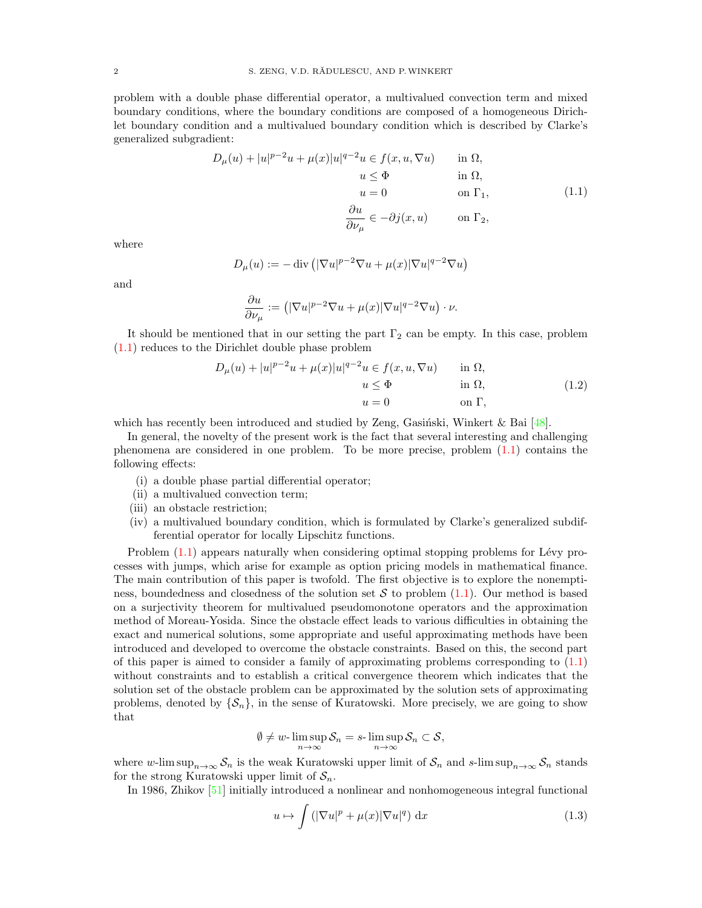problem with a double phase differential operator, a multivalued convection term and mixed boundary conditions, where the boundary conditions are composed of a homogeneous Dirichlet boundary condition and a multivalued boundary condition which is described by Clarke's generalized subgradient:

<span id="page-1-0"></span>
$$
D_{\mu}(u) + |u|^{p-2}u + \mu(x)|u|^{q-2}u \in f(x, u, \nabla u) \quad \text{in } \Omega,
$$
  
\n
$$
u \leq \Phi \quad \text{in } \Omega,
$$
  
\n
$$
u = 0 \quad \text{on } \Gamma_1,
$$
  
\n
$$
\frac{\partial u}{\partial \nu_{\mu}} \in -\partial j(x, u) \quad \text{on } \Gamma_2,
$$
\n(1.1)

where

$$
D_{\mu}(u) := -\operatorname{div} \left( |\nabla u|^{p-2} \nabla u + \mu(x) |\nabla u|^{q-2} \nabla u \right)
$$

and

$$
\frac{\partial u}{\partial \nu_{\mu}} := \left( |\nabla u|^{p-2} \nabla u + \mu(x) |\nabla u|^{q-2} \nabla u \right) \cdot \nu.
$$

It should be mentioned that in our setting the part  $\Gamma_2$  can be empty. In this case, problem [\(1.1\)](#page-1-0) reduces to the Dirichlet double phase problem

<span id="page-1-2"></span>
$$
D_{\mu}(u) + |u|^{p-2}u + \mu(x)|u|^{q-2}u \in f(x, u, \nabla u) \quad \text{in } \Omega,
$$
  
\n
$$
u \leq \Phi \quad \text{in } \Omega,
$$
  
\n
$$
u = 0 \quad \text{on } \Gamma,
$$
\n(1.2)

which has recently been introduced and studied by Zeng, Gasiński, Winkert & Bai  $[48]$ .

In general, the novelty of the present work is the fact that several interesting and challenging phenomena are considered in one problem. To be more precise, problem [\(1.1\)](#page-1-0) contains the following effects:

- (i) a double phase partial differential operator;
- (ii) a multivalued convection term;
- (iii) an obstacle restriction;
- (iv) a multivalued boundary condition, which is formulated by Clarke's generalized subdifferential operator for locally Lipschitz functions.

Problem  $(1.1)$  appears naturally when considering optimal stopping problems for Lévy processes with jumps, which arise for example as option pricing models in mathematical finance. The main contribution of this paper is twofold. The first objective is to explore the nonemptiness, boundedness and closedness of the solution set  $S$  to problem  $(1.1)$ . Our method is based on a surjectivity theorem for multivalued pseudomonotone operators and the approximation method of Moreau-Yosida. Since the obstacle effect leads to various difficulties in obtaining the exact and numerical solutions, some appropriate and useful approximating methods have been introduced and developed to overcome the obstacle constraints. Based on this, the second part of this paper is aimed to consider a family of approximating problems corresponding to [\(1.1\)](#page-1-0) without constraints and to establish a critical convergence theorem which indicates that the solution set of the obstacle problem can be approximated by the solution sets of approximating problems, denoted by  $\{\mathcal{S}_n\}$ , in the sense of Kuratowski. More precisely, we are going to show that

$$
\emptyset \neq w\text{-}\limsup_{n\to\infty} \mathcal{S}_n = s\text{-}\limsup_{n\to\infty} \mathcal{S}_n \subset \mathcal{S},
$$

where w-lim sup<sub>n→∞</sub>  $S_n$  is the weak Kuratowski upper limit of  $S_n$  and s-lim sup<sub>n→∞</sub>  $S_n$  stands for the strong Kuratowski upper limit of  $S_n$ .

In 1986, Zhikov [\[51\]](#page-20-1) initially introduced a nonlinear and nonhomogeneous integral functional

<span id="page-1-1"></span>
$$
u \mapsto \int \left( |\nabla u|^p + \mu(x) |\nabla u|^q \right) dx \tag{1.3}
$$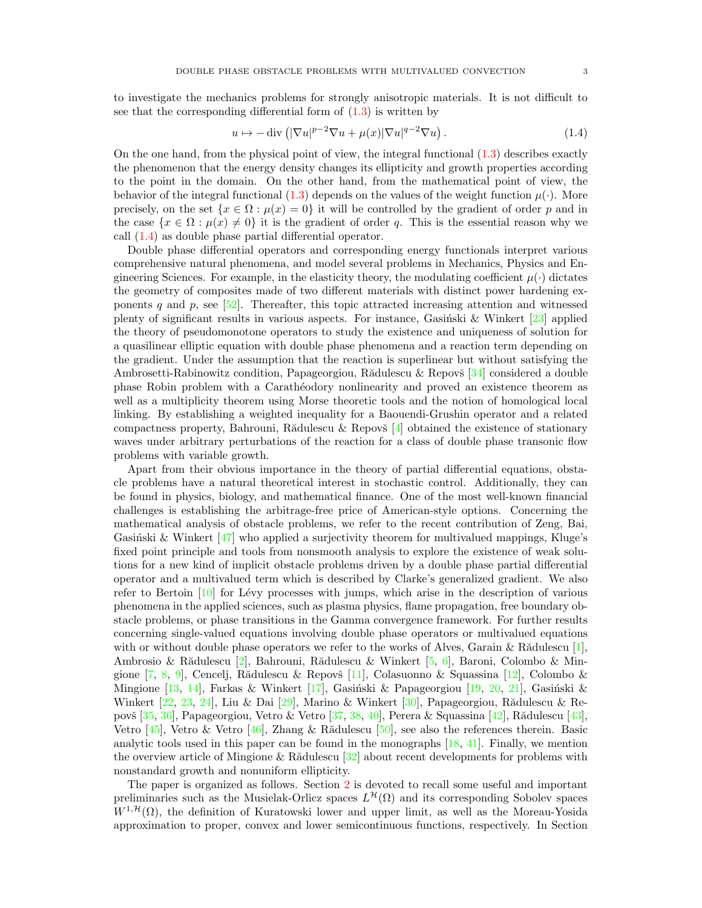to investigate the mechanics problems for strongly anisotropic materials. It is not difficult to see that the corresponding differential form of  $(1.3)$  is written by

<span id="page-2-0"></span>
$$
u \mapsto -\operatorname{div}\left( |\nabla u|^{p-2} \nabla u + \mu(x) |\nabla u|^{q-2} \nabla u \right). \tag{1.4}
$$

On the one hand, from the physical point of view, the integral functional  $(1.3)$  describes exactly the phenomenon that the energy density changes its ellipticity and growth properties according to the point in the domain. On the other hand, from the mathematical point of view, the behavior of the integral functional [\(1.3\)](#page-1-1) depends on the values of the weight function  $\mu(\cdot)$ . More precisely, on the set  $\{x \in \Omega : \mu(x) = 0\}$  it will be controlled by the gradient of order p and in the case  $\{x \in \Omega : \mu(x) \neq 0\}$  it is the gradient of order q. This is the essential reason why we call [\(1.4\)](#page-2-0) as double phase partial differential operator.

Double phase differential operators and corresponding energy functionals interpret various comprehensive natural phenomena, and model several problems in Mechanics, Physics and Engineering Sciences. For example, in the elasticity theory, the modulating coefficient  $\mu(\cdot)$  dictates the geometry of composites made of two different materials with distinct power hardening exponents q and p, see  $[52]$ . Thereafter, this topic attracted increasing attention and witnessed plenty of significant results in various aspects. For instance, Gasiński & Winkert  $\left[23\right]$  applied the theory of pseudomonotone operators to study the existence and uniqueness of solution for a quasilinear elliptic equation with double phase phenomena and a reaction term depending on the gradient. Under the assumption that the reaction is superlinear but without satisfying the Ambrosetti-Rabinowitz condition, Papageorgiou, Rădulescu & Repovš  $[34]$  considered a double phase Robin problem with a Carath´eodory nonlinearity and proved an existence theorem as well as a multiplicity theorem using Morse theoretic tools and the notion of homological local linking. By establishing a weighted inequality for a Baouendi-Grushin operator and a related compactness property, Bahrouni, Rădulescu & Repovš  $[4]$  obtained the existence of stationary waves under arbitrary perturbations of the reaction for a class of double phase transonic flow problems with variable growth.

Apart from their obvious importance in the theory of partial differential equations, obstacle problems have a natural theoretical interest in stochastic control. Additionally, they can be found in physics, biology, and mathematical finance. One of the most well-known financial challenges is establishing the arbitrage-free price of American-style options. Concerning the mathematical analysis of obstacle problems, we refer to the recent contribution of Zeng, Bai, Gasinski & Winkert  $[47]$  who applied a surjectivity theorem for multivalued mappings, Kluge's fixed point principle and tools from nonsmooth analysis to explore the existence of weak solutions for a new kind of implicit obstacle problems driven by a double phase partial differential operator and a multivalued term which is described by Clarke's generalized gradient. We also refer to Bertoin  $[10]$  for Lévy processes with jumps, which arise in the description of various phenomena in the applied sciences, such as plasma physics, flame propagation, free boundary obstacle problems, or phase transitions in the Gamma convergence framework. For further results concerning single-valued equations involving double phase operators or multivalued equations with or without double phase operators we refer to the works of Alves, Garain & R $\alpha$ dulescu [\[1\]](#page-18-2), Ambrosio & Rădulescu [\[2\]](#page-18-3), Bahrouni, Rădulescu & Winkert [\[5,](#page-18-4) [6\]](#page-18-5), Baroni, Colombo & Mingione  $[7, 8, 9]$  $[7, 8, 9]$  $[7, 8, 9]$  $[7, 8, 9]$ , Cencelj, Rădulescu & Repovš  $[11]$ , Colasuonno & Squassina  $[12]$ , Colombo & Mingione [\[13,](#page-19-7) [14\]](#page-19-8), Farkas & Winkert [\[17\]](#page-19-9), Gasiński & Papageorgiou [\[19,](#page-19-10) [20,](#page-19-11) [21\]](#page-19-12), Gasiński & Winkert  $[22, 23, 24]$  $[22, 23, 24]$  $[22, 23, 24]$  $[22, 23, 24]$ , Liu & Dai  $[29]$ , Marino & Winkert  $[30]$ , Papageorgiou, Rădulescu & Re-povš [\[35,](#page-19-17) [36\]](#page-19-18), Papageorgiou, Vetro & Vetro [\[37,](#page-19-19) [38,](#page-19-20) [40\]](#page-19-21), Perera & Squassina [\[42\]](#page-19-22), Rădulescu [\[43\]](#page-19-23), Vetro [\[45\]](#page-20-4), Vetro & Vetro [\[46\]](#page-20-5), Zhang & Rădulescu [\[50\]](#page-20-6), see also the references therein. Basic analytic tools used in this paper can be found in the monographs [\[18,](#page-19-24) [41\]](#page-19-25). Finally, we mention the overview article of Mingione & R $\ddot{\text{add}}$ ulescu [\[32\]](#page-19-26) about recent developments for problems with nonstandard growth and nonuniform ellipticity.

The paper is organized as follows. Section [2](#page-3-0) is devoted to recall some useful and important preliminaries such as the Musielak-Orlicz spaces  $L^{\mathcal{H}}(\Omega)$  and its corresponding Sobolev spaces  $W^{1, \mathcal{H}}(\Omega)$ , the definition of Kuratowski lower and upper limit, as well as the Moreau-Yosida approximation to proper, convex and lower semicontinuous functions, respectively. In Section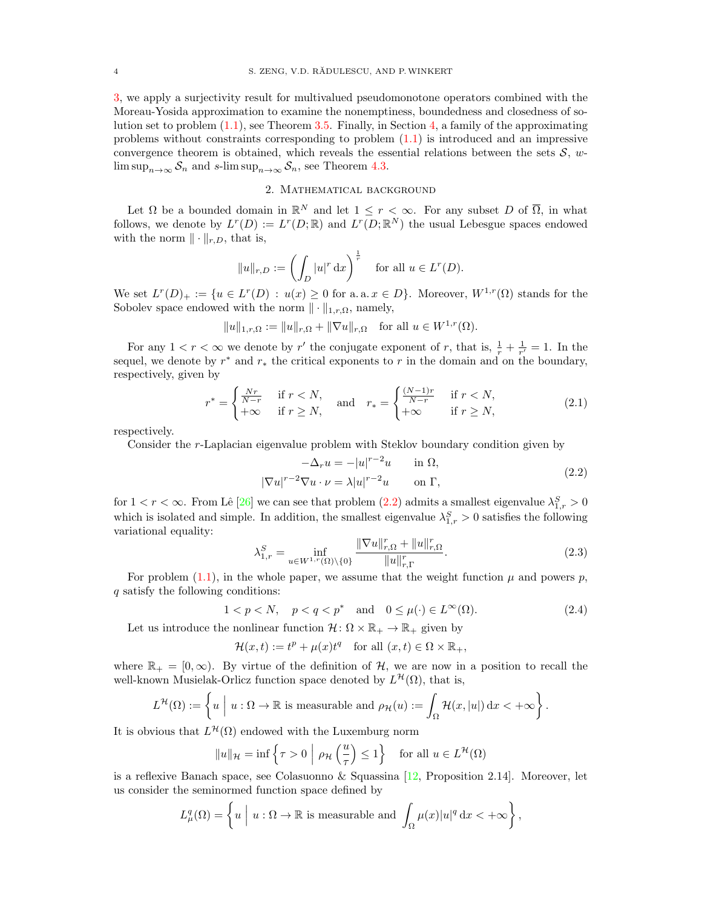[3,](#page-6-0) we apply a surjectivity result for multivalued pseudomonotone operators combined with the Moreau-Yosida approximation to examine the nonemptiness, boundedness and closedness of solution set to problem [\(1.1\)](#page-1-0), see Theorem [3.5.](#page-7-0) Finally, in Section [4,](#page-13-0) a family of the approximating problems without constraints corresponding to problem [\(1.1\)](#page-1-0) is introduced and an impressive convergence theorem is obtained, which reveals the essential relations between the sets  $S$ , w- $\limsup_{n\to\infty} S_n$  and s- $\limsup_{n\to\infty} S_n$ , see Theorem [4.3.](#page-14-0)

## 2. Mathematical background

<span id="page-3-0"></span>Let  $\Omega$  be a bounded domain in  $\mathbb{R}^N$  and let  $1 \leq r < \infty$ . For any subset D of  $\overline{\Omega}$ , in what follows, we denote by  $L^r(D) := L^r(D;\mathbb{R})$  and  $L^r(D;\mathbb{R}^N)$  the usual Lebesgue spaces endowed with the norm  $\|\cdot\|_{r,D}$ , that is,

$$
||u||_{r,D} := \left(\int_D |u|^r \, \mathrm{d}x\right)^{\frac{1}{r}} \quad \text{for all } u \in L^r(D).
$$

We set  $L^r(D)_+ := \{u \in L^r(D) : u(x) \geq 0 \text{ for a.a. } x \in D\}.$  Moreover,  $W^{1,r}(\Omega)$  stands for the Sobolev space endowed with the norm  $\|\cdot\|_{1,r,\Omega}$ , namely,

$$
||u||_{1,r,\Omega} := ||u||_{r,\Omega} + ||\nabla u||_{r,\Omega}
$$
 for all  $u \in W^{1,r}(\Omega)$ .

For any  $1 < r < \infty$  we denote by r' the conjugate exponent of r, that is,  $\frac{1}{r} + \frac{1}{r'} = 1$ . In the sequel, we denote by  $r^*$  and  $r_*$  the critical exponents to r in the domain and on the boundary, respectively, given by

$$
r^* = \begin{cases} \frac{Nr}{N-r} & \text{if } r < N, \\ +\infty & \text{if } r \ge N, \end{cases} \quad \text{and} \quad r_* = \begin{cases} \frac{(N-1)r}{N-r} & \text{if } r < N, \\ +\infty & \text{if } r \ge N, \end{cases} \tag{2.1}
$$

respectively.

Consider the r-Laplacian eigenvalue problem with Steklov boundary condition given by

<span id="page-3-3"></span><span id="page-3-1"></span>
$$
-\Delta_r u = -|u|^{r-2}u \quad \text{in } \Omega,
$$
  

$$
|\nabla u|^{r-2} \nabla u \cdot \nu = \lambda |u|^{r-2}u \quad \text{on } \Gamma,
$$
 (2.2)

for  $1 < r < \infty$ . From Lê [\[26\]](#page-19-27) we can see that problem [\(2.2\)](#page-3-1) admits a smallest eigenvalue  $\lambda_{1,r}^S > 0$ which is isolated and simple. In addition, the smallest eigenvalue  $\lambda_{1,r}^S > 0$  satisfies the following variational equality:

<span id="page-3-4"></span><span id="page-3-2"></span>
$$
\lambda_{1,r}^{S} = \inf_{u \in W^{1,r}(\Omega) \setminus \{0\}} \frac{\|\nabla u\|_{r,\Omega}^r + \|u\|_{r,\Omega}^r}{\|u\|_{r,\Gamma}^r}.
$$
\n(2.3)

For problem [\(1.1\)](#page-1-0), in the whole paper, we assume that the weight function  $\mu$  and powers p, q satisfy the following conditions:

$$
1 < p < N, \quad p < q < p^* \quad \text{and} \quad 0 \le \mu(\cdot) \in L^\infty(\Omega). \tag{2.4}
$$

Let us introduce the nonlinear function  $\mathcal{H} \colon \Omega \times \mathbb{R}_+ \to \mathbb{R}_+$  given by

$$
\mathcal{H}(x,t) := t^p + \mu(x)t^q \quad \text{for all } (x,t) \in \Omega \times \mathbb{R}_+,
$$

where  $\mathbb{R}_+ = [0, \infty)$ . By virtue of the definition of H, we are now in a position to recall the well-known Musielak-Orlicz function space denoted by  $L^{\mathcal{H}}(\Omega)$ , that is,

$$
L^{\mathcal{H}}(\Omega) := \left\{ u \mid u : \Omega \to \mathbb{R} \text{ is measurable and } \rho_{\mathcal{H}}(u) := \int_{\Omega} \mathcal{H}(x, |u|) dx < +\infty \right\}.
$$

It is obvious that  $L^{\mathcal{H}}(\Omega)$  endowed with the Luxemburg norm

$$
||u||_{\mathcal{H}} = \inf \left\{ \tau > 0 \mid \rho_{\mathcal{H}} \left( \frac{u}{\tau} \right) \le 1 \right\} \quad \text{for all } u \in L^{\mathcal{H}}(\Omega)
$$

is a reflexive Banach space, see Colasuonno & Squassina [\[12,](#page-19-6) Proposition 2.14]. Moreover, let us consider the seminormed function space defined by

$$
L^q_\mu(\Omega) = \left\{ u \mid u : \Omega \to \mathbb{R} \text{ is measurable and } \int_{\Omega} \mu(x) |u|^q \, \mathrm{d}x < +\infty \right\},\,
$$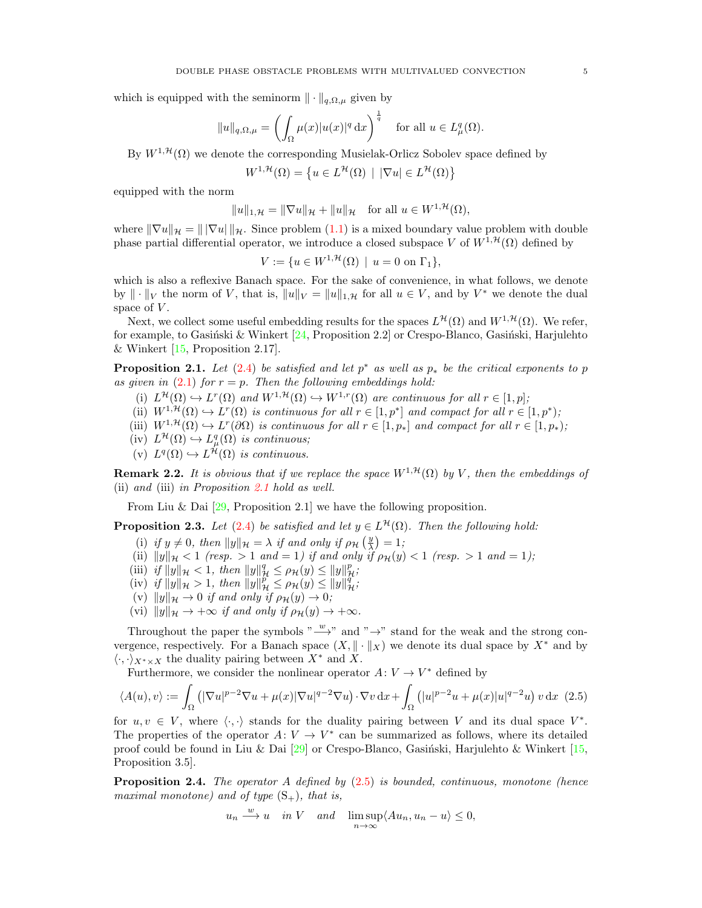which is equipped with the seminorm  $\|\cdot\|_{q,\Omega,\mu}$  given by

$$
||u||_{q,\Omega,\mu} = \left(\int_{\Omega} \mu(x)|u(x)|^q dx\right)^{\frac{1}{q}} \quad \text{for all } u \in L^q_{\mu}(\Omega).
$$

By  $W^{1,\mathcal{H}}(\Omega)$  we denote the corresponding Musielak-Orlicz Sobolev space defined by

$$
W^{1,\mathcal{H}}(\Omega) = \{ u \in L^{\mathcal{H}}(\Omega) \mid |\nabla u| \in L^{\mathcal{H}}(\Omega) \}
$$

equipped with the norm

$$
||u||_{1,\mathcal{H}} = ||\nabla u||_{\mathcal{H}} + ||u||_{\mathcal{H}} \quad \text{for all } u \in W^{1,\mathcal{H}}(\Omega),
$$

where  $\|\nabla u\|_{\mathcal{H}} = \|\nabla u\|_{\mathcal{H}}$ . Since problem [\(1.1\)](#page-1-0) is a mixed boundary value problem with double phase partial differential operator, we introduce a closed subspace V of  $W^{1, \mathcal{H}}(\Omega)$  defined by

$$
V := \{ u \in W^{1, \mathcal{H}}(\Omega) \mid u = 0 \text{ on } \Gamma_1 \},
$$

which is also a reflexive Banach space. For the sake of convenience, in what follows, we denote by  $\|\cdot\|_V$  the norm of V, that is,  $\|u\|_V = \|u\|_{1,\mathcal{H}}$  for all  $u \in V$ , and by  $V^*$  we denote the dual space of  $V$ .

Next, we collect some useful embedding results for the spaces  $L^{\mathcal{H}}(\Omega)$  and  $W^{1,\mathcal{H}}(\Omega)$ . We refer, for example, to Gasiński & Winkert [\[24,](#page-19-14) Proposition 2.2] or Crespo-Blanco, Gasiński, Harjulehto & Winkert  $[15,$  Proposition 2.17].

<span id="page-4-0"></span>**Proposition 2.1.** Let [\(2.4\)](#page-3-2) be satisfied and let  $p^*$  as well as  $p_*$  be the critical exponents to p as given in  $(2.1)$  for  $r = p$ . Then the following embeddings hold:

- (i)  $L^{\mathcal{H}}(\Omega) \hookrightarrow L^{r}(\Omega)$  and  $W^{1,\mathcal{H}}(\Omega) \hookrightarrow W^{1,r}(\Omega)$  are continuous for all  $r \in [1,p]$ ;
- (ii)  $W^{1,\mathcal{H}}(\Omega) \hookrightarrow L^r(\Omega)$  is continuous for all  $r \in [1,p^*]$  and compact for all  $r \in [1,p^*);$
- (iii)  $W^{1,\mathcal{H}}(\Omega) \hookrightarrow L^r(\partial \Omega)$  is continuous for all  $r \in [1,p_*]$  and compact for all  $r \in [1,p_*)$ ;
- $(iv) L^{\mathcal{H}}(\Omega) \hookrightarrow L^q_{\mu}(\Omega)$  is continuous;
- (v)  $L^q(\Omega) \hookrightarrow L^{\mathcal{H}}(\Omega)$  is continuous.

**Remark 2.2.** It is obvious that if we replace the space  $W^{1, \mathcal{H}}(\Omega)$  by V, then the embeddings of (ii) and (iii) in Proposition [2.1](#page-4-0) hold as well.

From Liu & Dai [\[29,](#page-19-15) Proposition 2.1] we have the following proposition.

**Proposition 2.3.** Let [\(2.4\)](#page-3-2) be satisfied and let  $y \in L^{\mathcal{H}}(\Omega)$ . Then the following hold:

- (i) if  $y \neq 0$ , then  $||y||_{\mathcal{H}} = \lambda$  if and only if  $\rho_{\mathcal{H}}\left(\frac{y}{\lambda}\right) = 1$ ;
- (ii)  $||y||_{\mathcal{H}} < 1$  (resp.  $> 1$  and  $= 1$ ) if and only if  $\rho_{\mathcal{H}}(y) < 1$  (resp.  $> 1$  and  $= 1$ );
- (iii) if  $||y||_{\mathcal{H}} < 1$ , then  $||y||_{\mathcal{H}}^q \le \rho_{\mathcal{H}}(y) \le ||y||_{\mathcal{H}}^p$ ;
- (iv) if  $||y||_{\mathcal{H}} > 1$ , then  $||y||_{\mathcal{H}}^p \le \rho_{\mathcal{H}}(y) \le ||y||_{\mathcal{H}}^q$ ;
- (v)  $||y||_{\mathcal{H}} \to 0$  if and only if  $\rho_{\mathcal{H}}(y) \to 0;$
- (vi)  $||y||_{\mathcal{H}} \rightarrow +\infty$  if and only if  $\rho_{\mathcal{H}}(y) \rightarrow +\infty$ .

Throughout the paper the symbols " $\rightarrow$ " and " $\rightarrow$ " stand for the weak and the strong convergence, respectively. For a Banach space  $(X, \|\cdot\|_X)$  we denote its dual space by  $X^*$  and by  $\langle \cdot, \cdot \rangle_{X^* \times X}$  the duality pairing between  $X^*$  and X.

Furthermore, we consider the nonlinear operator  $A: V \to V^*$  defined by

<span id="page-4-1"></span>
$$
\langle A(u), v \rangle := \int_{\Omega} \left( |\nabla u|^{p-2} \nabla u + \mu(x) |\nabla u|^{q-2} \nabla u \right) \cdot \nabla v \, dx + \int_{\Omega} \left( |u|^{p-2} u + \mu(x) |u|^{q-2} u \right) v \, dx \tag{2.5}
$$

for  $u, v \in V$ , where  $\langle \cdot, \cdot \rangle$  stands for the duality pairing between V and its dual space  $V^*$ . The properties of the operator  $A: V \to V^*$  can be summarized as follows, where its detailed proof could be found in Liu & Dai  $[29]$  or Crespo-Blanco, Gasinski, Harjulehto & Winkert  $[15,$ Proposition 3.5].

<span id="page-4-2"></span>**Proposition 2.4.** The operator A defined by  $(2.5)$  is bounded, continuous, monotone (hence maximal monotone) and of type  $(S_+)$ , that is,

$$
u_n \xrightarrow{w} u
$$
 in V and  $\lim_{n \to \infty} \frac{\text{sup}}{\lambda u_n, u_n - u} \leq 0$ ,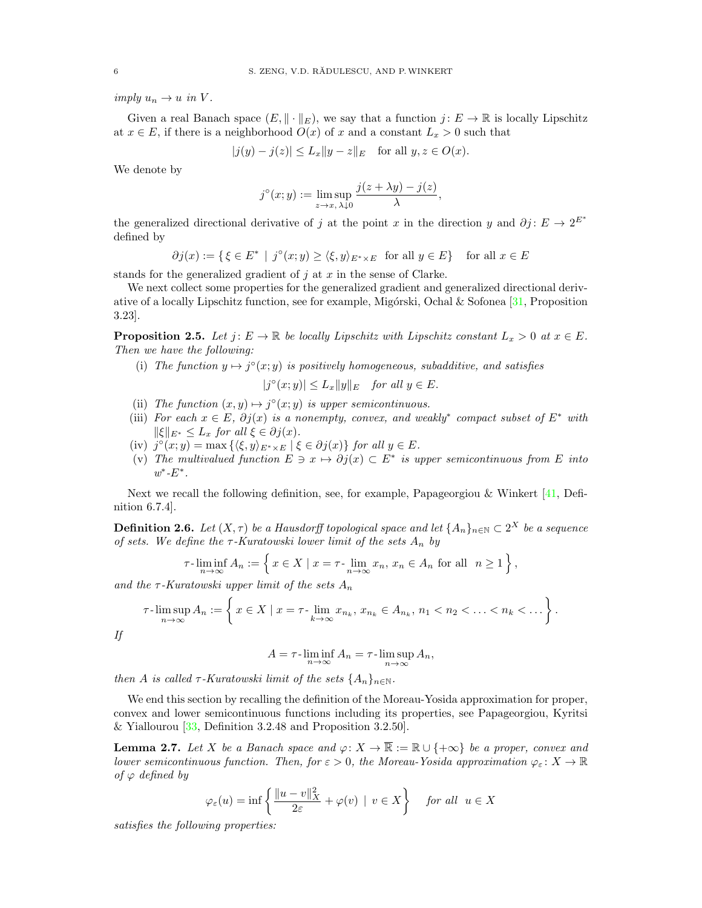imply  $u_n \to u$  in V.

Given a real Banach space  $(E, \|\cdot\|_E)$ , we say that a function  $j: E \to \mathbb{R}$  is locally Lipschitz at  $x \in E$ , if there is a neighborhood  $O(x)$  of x and a constant  $L_x > 0$  such that

$$
|j(y) - j(z)| \le L_x \|y - z\|_E \quad \text{for all } y, z \in O(x).
$$

We denote by

$$
j^{\circ}(x; y) := \limsup_{z \to x, \, \lambda \downarrow 0} \frac{j(z + \lambda y) - j(z)}{\lambda},
$$

the generalized directional derivative of j at the point x in the direction y and  $\partial j: E \to 2^{E^*}$ defined by

$$
\partial j(x) := \{ \xi \in E^* \mid j^{\circ}(x; y) \ge \langle \xi, y \rangle_{E^* \times E} \text{ for all } y \in E \} \text{ for all } x \in E
$$

stands for the generalized gradient of  $i$  at  $x$  in the sense of Clarke.

We next collect some properties for the generalized gradient and generalized directional derivative of a locally Lipschitz function, see for example, Migórski, Ochal & Sofonea  $[31,$  Proposition 3.23].

**Proposition 2.5.** Let  $j: E \to \mathbb{R}$  be locally Lipschitz with Lipschitz constant  $L_x > 0$  at  $x \in E$ . Then we have the following:

(i) The function  $y \mapsto j^{\circ}(x; y)$  is positively homogeneous, subadditive, and satisfies

 $|j^{\circ}(x; y)| \leq L_x \|y\|_E$  for all  $y \in E$ .

- (ii) The function  $(x, y) \mapsto j^{\circ}(x, y)$  is upper semicontinuous.
- (iii) For each  $x \in E$ ,  $\partial j(x)$  is a nonempty, convex, and weakly<sup>\*</sup> compact subset of  $E^*$  with  $\|\xi\|_{E^*} \leq L_x$  for all  $\xi \in \partial j(x)$ .
- (iv)  $j^{\circ}(x; y) = \max\left\{ \langle \xi, y \rangle_{E^* \times E} \mid \xi \in \partial j(x) \right\}$  for all  $y \in E$ .
- (v) The multivalued function  $E \ni x \mapsto \partial j(x) \subset E^*$  is upper semicontinuous from E into  $w^*$ - $E^*$ .

Next we recall the following definition, see, for example, Papageorgiou & Winkert [\[41,](#page-19-25) Definition 6.7.4].

**Definition 2.6.** Let  $(X, \tau)$  be a Hausdorff topological space and let  $\{A_n\}_{n\in\mathbb{N}}\subset 2^X$  be a sequence of sets. We define the  $\tau$ -Kuratowski lower limit of the sets  $A_n$  by

$$
\tau\text{-}\liminf_{n\to\infty} A_n := \left\{ x \in X \mid x = \tau\text{-}\lim_{n\to\infty} x_n, x_n \in A_n \text{ for all } n \ge 1 \right\},\
$$

and the  $\tau$ -Kuratowski upper limit of the sets  $A_n$ 

$$
\tau\text{-}\limsup_{n\to\infty} A_n := \left\{ x \in X \mid x = \tau\text{-}\lim_{k\to\infty} x_{n_k}, x_{n_k} \in A_{n_k}, n_1 < n_2 < \ldots < n_k < \ldots \right\}.
$$

If

$$
A = \tau \cdot \liminf_{n \to \infty} A_n = \tau \cdot \limsup_{n \to \infty} A_n,
$$

then A is called  $\tau$ -Kuratowski limit of the sets  $\{A_n\}_{n\in\mathbb{N}}$ .

We end this section by recalling the definition of the Moreau-Yosida approximation for proper, convex and lower semicontinuous functions including its properties, see Papageorgiou, Kyritsi & Yiallourou [\[33,](#page-19-30) Definition 3.2.48 and Proposition 3.2.50].

<span id="page-5-0"></span>**Lemma 2.7.** Let X be a Banach space and  $\varphi: X \to \overline{\mathbb{R}} := \mathbb{R} \cup \{+\infty\}$  be a proper, convex and lower semicontinuous function. Then, for  $\varepsilon > 0$ , the Moreau-Yosida approximation  $\varphi_{\varepsilon}: X \to \mathbb{R}$ of  $\varphi$  defined by

$$
\varphi_{\varepsilon}(u) = \inf \left\{ \frac{\|u - v\|_X^2}{2\varepsilon} + \varphi(v) \mid v \in X \right\} \quad \text{for all} \ \ u \in X
$$

satisfies the following properties: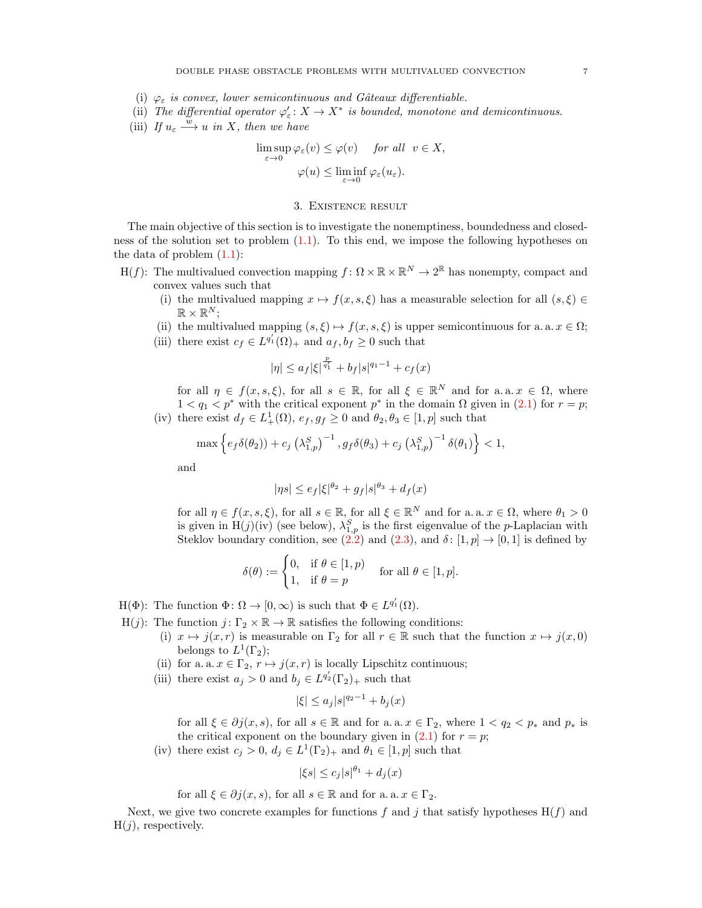- (i)  $\varphi_{\varepsilon}$  is convex, lower semicontinuous and Gâteaux differentiable.
- (ii) The differential operator  $\varphi'_{\varepsilon}: X \to X^*$  is bounded, monotone and demicontinuous.
- (iii) If  $u_{\varepsilon} \stackrel{w}{\longrightarrow} u$  in X, then we have

$$
\limsup_{\varepsilon \to 0} \varphi_{\varepsilon}(v) \leq \varphi(v) \quad \text{for all} \ \ v \in X,
$$
  

$$
\varphi(u) \leq \liminf_{\varepsilon \to 0} \varphi_{\varepsilon}(u_{\varepsilon}).
$$

### 3. Existence result

<span id="page-6-0"></span>The main objective of this section is to investigate the nonemptiness, boundedness and closedness of the solution set to problem [\(1.1\)](#page-1-0). To this end, we impose the following hypotheses on the data of problem  $(1.1)$ :

- H(f): The multivalued convection mapping  $f: \Omega \times \mathbb{R} \times \mathbb{R}^N \to 2^{\mathbb{R}}$  has nonempty, compact and convex values such that
	- (i) the multivalued mapping  $x \mapsto f(x, s, \xi)$  has a measurable selection for all  $(s, \xi) \in$  $\mathbb{R} \times \mathbb{R}^N;$
	- (ii) the multivalued mapping  $(s, \xi) \mapsto f(x, s, \xi)$  is upper semicontinuous for a. a.  $x \in \Omega$ ;
	- (iii) there exist  $c_f \in L^{q'_1}(\Omega)_+$  and  $a_f, b_f \geq 0$  such that

$$
|\eta| \le a_f |\xi|^{\frac{p}{q'_1}} + b_f |s|^{q_1 - 1} + c_f(x)
$$

for all  $\eta \in f(x, s, \xi)$ , for all  $s \in \mathbb{R}$ , for all  $\xi \in \mathbb{R}^N$  and for a.a.  $x \in \Omega$ , where  $1 < q_1 < p^*$  with the critical exponent  $p^*$  in the domain  $\Omega$  given in [\(2.1\)](#page-3-3) for  $r = p$ ; (iv) there exist  $d_f \in L^1_+(\Omega)$ ,  $e_f, g_f \geq 0$  and  $\theta_2, \theta_3 \in [1, p]$  such that

$$
\max\left\{e_f\delta(\theta_2)\right\} + c_j \left(\lambda_{1,p}^S\right)^{-1}, g_f\delta(\theta_3) + c_j \left(\lambda_{1,p}^S\right)^{-1} \delta(\theta_1)\right\} < 1,
$$

and

$$
|\eta s| \le e_f |\xi|^{\theta_2} + g_f |s|^{\theta_3} + d_f(x)
$$

for all  $\eta \in f(x, s, \xi)$ , for all  $s \in \mathbb{R}$ , for all  $\xi \in \mathbb{R}^N$  and for a. a.  $x \in \Omega$ , where  $\theta_1 > 0$ is given in H(j)(iv) (see below),  $\lambda_{1,p}^S$  is the first eigenvalue of the p-Laplacian with Steklov boundary condition, see [\(2.2\)](#page-3-1) and [\(2.3\)](#page-3-4), and  $\delta$ : [1, p]  $\rightarrow$  [0, 1] is defined by

$$
\delta(\theta) := \begin{cases} 0, & \text{if } \theta \in [1, p) \\ 1, & \text{if } \theta = p \end{cases} \quad \text{for all } \theta \in [1, p].
$$

- $H(\Phi)$ : The function  $\Phi \colon \Omega \to [0, \infty)$  is such that  $\Phi \in L^{q'_1}(\Omega)$ .
- H(*j*): The function  $j: \Gamma_2 \times \mathbb{R} \to \mathbb{R}$  satisfies the following conditions:
	- (i)  $x \mapsto j(x, r)$  is measurable on  $\Gamma_2$  for all  $r \in \mathbb{R}$  such that the function  $x \mapsto j(x, 0)$ belongs to  $L^1(\Gamma_2)$ ;
	- (ii) for a. a.  $x \in \Gamma_2$ ,  $r \mapsto j(x, r)$  is locally Lipschitz continuous;
	- (iii) there exist  $a_j > 0$  and  $b_j \in L^{q'_2}(\Gamma_2)_+$  such that

$$
|\xi| \le a_j |s|^{q_2 - 1} + b_j(x)
$$

for all  $\xi \in \partial j(x, s)$ , for all  $s \in \mathbb{R}$  and for a. a.  $x \in \Gamma_2$ , where  $1 < q_2 < p_*$  and  $p_*$  is the critical exponent on the boundary given in  $(2.1)$  for  $r = p$ ;

(iv) there exist  $c_j > 0$ ,  $d_j \in L^1(\Gamma_2)_+$  and  $\theta_1 \in [1, p]$  such that

$$
|\xi s| \le c_j |s|^{\theta_1} + d_j(x)
$$

for all 
$$
\xi \in \partial j(x, s)
$$
, for all  $s \in \mathbb{R}$  and for a. a.  $x \in \Gamma_2$ .

Next, we give two concrete examples for functions f and j that satisfy hypotheses  $H(f)$  and  $H(j)$ , respectively.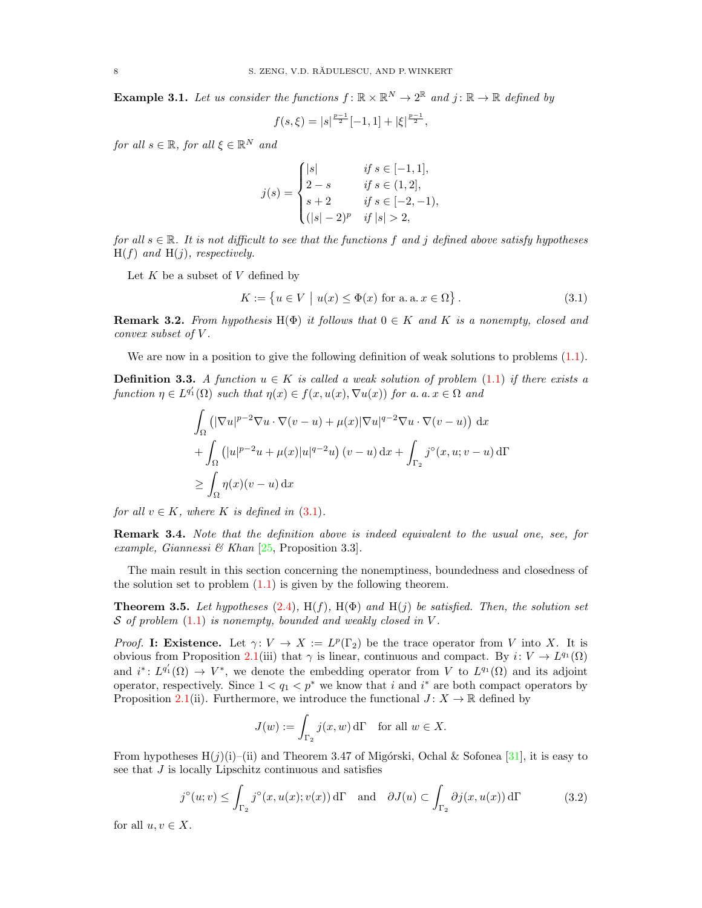**Example 3.1.** Let us consider the functions  $f: \mathbb{R} \times \mathbb{R}^N \to 2^{\mathbb{R}}$  and  $j: \mathbb{R} \to \mathbb{R}$  defined by

$$
f(s,\xi) = |s|^{\frac{p-1}{2}}[-1,1] + |\xi|^{\frac{p-1}{2}},
$$

for all  $s \in \mathbb{R}$ , for all  $\xi \in \mathbb{R}^N$  and

$$
j(s) = \begin{cases} |s| & \text{if } s \in [-1, 1], \\ 2 - s & \text{if } s \in (1, 2], \\ s + 2 & \text{if } s \in [-2, -1), \\ (|s| - 2)^p & \text{if } |s| > 2, \end{cases}
$$

for all  $s \in \mathbb{R}$ . It is not difficult to see that the functions f and j defined above satisfy hypotheses  $H(f)$  and  $H(j)$ , respectively.

Let  $K$  be a subset of  $V$  defined by

<span id="page-7-1"></span>
$$
K := \{ u \in V \mid u(x) \le \Phi(x) \text{ for a. a. } x \in \Omega \}.
$$
\n
$$
(3.1)
$$

<span id="page-7-2"></span>**Remark 3.2.** From hypothesis H( $\Phi$ ) it follows that  $0 \in K$  and K is a nonempty, closed and convex subset of V .

We are now in a position to give the following definition of weak solutions to problems  $(1.1)$ .

**Definition 3.3.** A function  $u \in K$  is called a weak solution of problem [\(1.1\)](#page-1-0) if there exists a function  $\eta \in L^{q'_1}(\Omega)$  such that  $\eta(x) \in f(x, u(x), \nabla u(x))$  for a. a.  $x \in \Omega$  and

$$
\int_{\Omega} \left( |\nabla u|^{p-2} \nabla u \cdot \nabla (v - u) + \mu(x) |\nabla u|^{q-2} \nabla u \cdot \nabla (v - u) \right) dx
$$
  
+ 
$$
\int_{\Omega} \left( |u|^{p-2} u + \mu(x) |u|^{q-2} u \right) (v - u) dx + \int_{\Gamma_2} j^{\circ}(x, u; v - u) d\Gamma
$$
  

$$
\geq \int_{\Omega} \eta(x) (v - u) dx
$$

for all  $v \in K$ , where K is defined in  $(3.1)$ .

Remark 3.4. Note that the definition above is indeed equivalent to the usual one, see, for example, Giannessi & Khan  $[25,$  Proposition 3.3].

The main result in this section concerning the nonemptiness, boundedness and closedness of the solution set to problem  $(1.1)$  is given by the following theorem.

<span id="page-7-0"></span>**Theorem 3.5.** Let hypotheses [\(2.4\)](#page-3-2),  $H(f)$ ,  $H(\Phi)$  and  $H(j)$  be satisfied. Then, the solution set  $S$  of problem  $(1.1)$  is nonempty, bounded and weakly closed in V.

*Proof.* I: Existence. Let  $\gamma: V \to X := L^p(\Gamma_2)$  be the trace operator from V into X. It is obvious from Proposition [2.1\(](#page-4-0)iii) that  $\gamma$  is linear, continuous and compact. By  $i: V \to L^{q_1}(\Omega)$ and  $i^*: L^{q'_1}(\Omega) \to V^*$ , we denote the embedding operator from V to  $L^{q_1}(\Omega)$  and its adjoint operator, respectively. Since  $1 < q_1 < p^*$  we know that i and i<sup>\*</sup> are both compact operators by Proposition [2.1\(](#page-4-0)ii). Furthermore, we introduce the functional  $J: X \to \mathbb{R}$  defined by

<span id="page-7-3"></span>
$$
J(w) := \int_{\Gamma_2} j(x, w) d\Gamma \quad \text{for all } w \in X.
$$

From hypotheses  $H(j)(i)$ –(ii) and Theorem 3.47 of Migórski, Ochal & Sofonea [\[31\]](#page-19-29), it is easy to see that J is locally Lipschitz continuous and satisfies

$$
j^{\circ}(u;v) \le \int_{\Gamma_2} j^{\circ}(x, u(x); v(x)) d\Gamma \quad \text{and} \quad \partial J(u) \subset \int_{\Gamma_2} \partial j(x, u(x)) d\Gamma \tag{3.2}
$$

for all  $u, v \in X$ .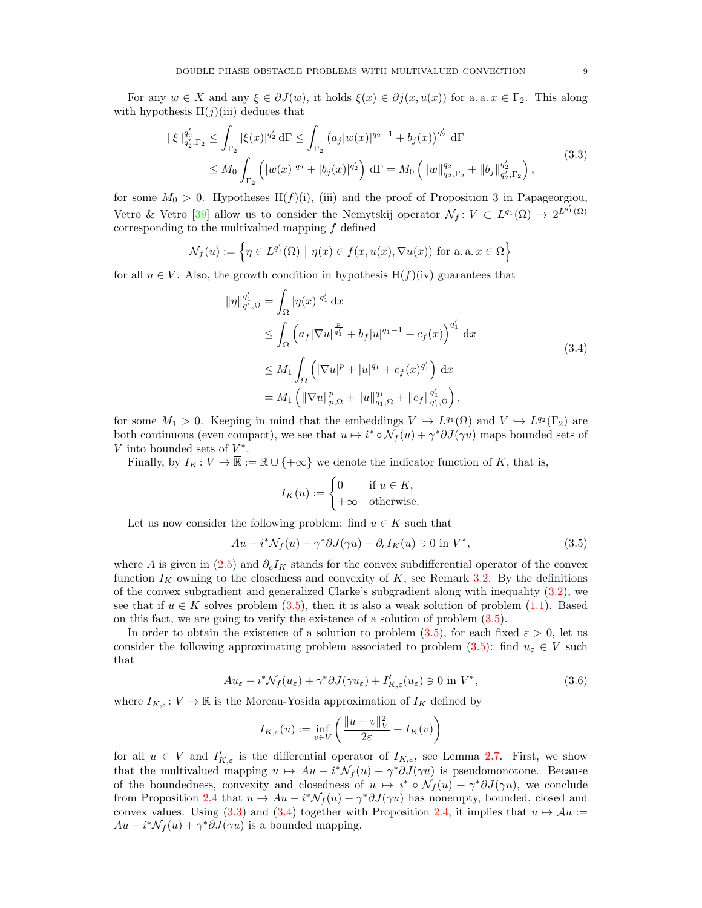For any  $w \in X$  and any  $\xi \in \partial J(w)$ , it holds  $\xi(x) \in \partial j(x, u(x))$  for a. a.  $x \in \Gamma_2$ . This along with hypothesis  $H(j)(iii)$  deduces that

$$
\|\xi\|_{q_2',\Gamma_2}^{q_2'} \le \int_{\Gamma_2} |\xi(x)|^{q_2'} d\Gamma \le \int_{\Gamma_2} (a_j |w(x)|^{q_2-1} + b_j(x))^{q_2'} d\Gamma
$$
  

$$
\le M_0 \int_{\Gamma_2} (|w(x)|^{q_2} + |b_j(x)|^{q_2'}) d\Gamma = M_0 \left( \|w\|_{q_2,\Gamma_2}^{q_2} + \|b_j\|_{q_2',\Gamma_2}^{q_2'} \right),
$$
\n(3.3)

for some  $M_0 > 0$ . Hypotheses H(f)(i), (iii) and the proof of Proposition 3 in Papageorgiou, Vetro & Vetro [\[39\]](#page-19-32) allow us to consider the Nemytskij operator  $\mathcal{N}_f: V \subset L^{q_1}(\Omega) \to 2^{L^{q'_1}(\Omega)}$ corresponding to the multivalued mapping  $f$  defined

$$
\mathcal{N}_f(u) := \left\{ \eta \in L^{q'_1}(\Omega) \mid \eta(x) \in f(x, u(x), \nabla u(x)) \text{ for a. a. } x \in \Omega \right\}
$$

for all  $u \in V$ . Also, the growth condition in hypothesis  $H(f)(iv)$  guarantees that

<span id="page-8-1"></span>
$$
\|\eta\|_{q_1',\Omega}^{q_1'} = \int_{\Omega} |\eta(x)|^{q_1'} dx
$$
  
\n
$$
\leq \int_{\Omega} \left( a_f |\nabla u|^{\frac{p}{q_1'}} + b_f |u|^{q_1-1} + c_f(x) \right)^{q_1'} dx
$$
  
\n
$$
\leq M_1 \int_{\Omega} \left( |\nabla u|^p + |u|^{q_1} + c_f(x)^{q_1'} \right) dx
$$
  
\n
$$
= M_1 \left( \|\nabla u\|_{p,\Omega}^p + \|u\|_{q_1,\Omega}^{q_1} + \|c_f\|_{q_1',\Omega}^{q_1'} \right),
$$
\n(3.4)

for some  $M_1 > 0$ . Keeping in mind that the embeddings  $V \hookrightarrow L^{q_1}(\Omega)$  and  $V \hookrightarrow L^{q_2}(\Gamma_2)$  are both continuous (even compact), we see that  $u \mapsto i^* \circ \mathcal{N}_f(u) + \gamma^* \partial J(\gamma u)$  maps bounded sets of  $V$  into bounded sets of  $V^*$ .

Finally, by  $I_K: V \to \overline{\mathbb{R}} := \mathbb{R} \cup \{+\infty\}$  we denote the indicator function of K, that is,

<span id="page-8-2"></span><span id="page-8-0"></span>
$$
I_K(u) := \begin{cases} 0 & \text{if } u \in K, \\ +\infty & \text{otherwise.} \end{cases}
$$

Let us now consider the following problem: find  $u \in K$  such that

$$
Au - i^* \mathcal{N}_f(u) + \gamma^* \partial J(\gamma u) + \partial_c I_K(u) \ni 0 \text{ in } V^*,
$$
\n(3.5)

where A is given in [\(2.5\)](#page-4-1) and  $\partial_c I_K$  stands for the convex subdifferential operator of the convex function  $I_K$  owning to the closedness and convexity of  $K$ , see Remark [3.2.](#page-7-2) By the definitions of the convex subgradient and generalized Clarke's subgradient along with inequality [\(3.2\)](#page-7-3), we see that if  $u \in K$  solves problem [\(3.5\)](#page-8-0), then it is also a weak solution of problem [\(1.1\)](#page-1-0). Based on this fact, we are going to verify the existence of a solution of problem [\(3.5\)](#page-8-0).

In order to obtain the existence of a solution to problem [\(3.5\)](#page-8-0), for each fixed  $\varepsilon > 0$ , let us consider the following approximating problem associated to problem [\(3.5\)](#page-8-0): find  $u_{\varepsilon} \in V$  such that

$$
Au_{\varepsilon} - i^* \mathcal{N}_f(u_{\varepsilon}) + \gamma^* \partial J(\gamma u_{\varepsilon}) + I'_{K,\varepsilon}(u_{\varepsilon}) \ni 0 \text{ in } V^*,
$$
\n(3.6)

where  $I_{K,\varepsilon}: V \to \mathbb{R}$  is the Moreau-Yosida approximation of  $I_K$  defined by

<span id="page-8-3"></span>
$$
I_{K,\varepsilon}(u) := \inf_{v \in V} \left( \frac{\|u - v\|_V^2}{2\varepsilon} + I_K(v) \right)
$$

for all  $u \in V$  and  $I'_{K,\varepsilon}$  is the differential operator of  $I_{K,\varepsilon}$ , see Lemma [2.7.](#page-5-0) First, we show that the multivalued mapping  $u \mapsto Au - i^* \mathcal{N}_f(u) + \gamma^* \partial J(\gamma u)$  is pseudomonotone. Because of the boundedness, convexity and closedness of  $u \mapsto i^* \circ \mathcal{N}_f(u) + \gamma^* \partial J(\gamma u)$ , we conclude from Proposition [2.4](#page-4-2) that  $u \mapsto Au - i^*\mathcal{N}_f(u) + \gamma^*\partial J(\gamma u)$  has nonempty, bounded, closed and convex values. Using [\(3.3\)](#page-8-1) and [\(3.4\)](#page-8-2) together with Proposition [2.4,](#page-4-2) it implies that  $u \mapsto Au$  :=  $Au - i^* \mathcal{N}_f(u) + \gamma^* \partial J(\gamma u)$  is a bounded mapping.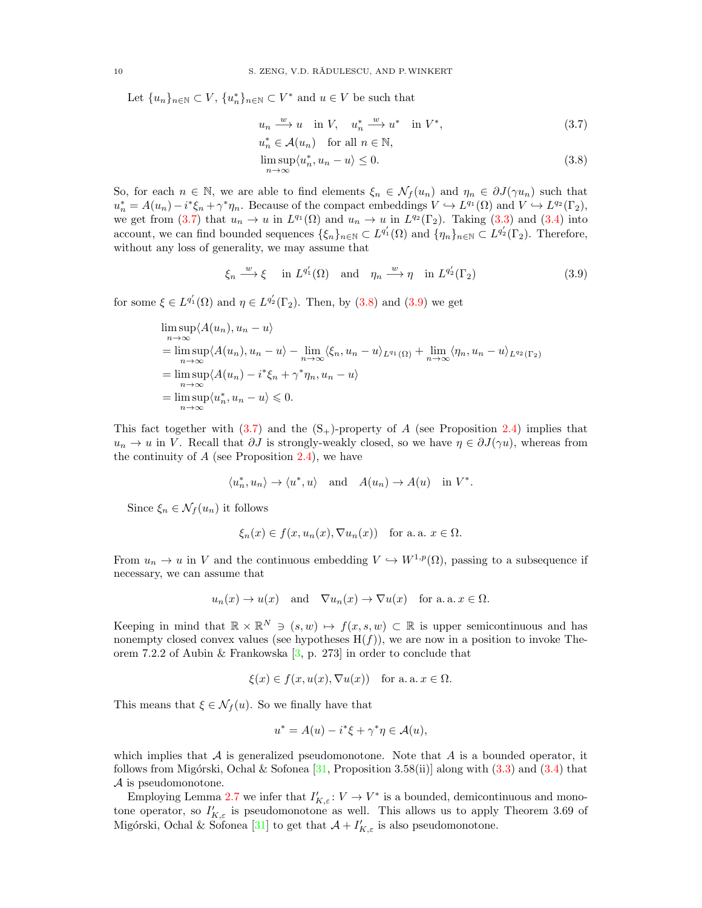Let  ${u_n}_{n\in\mathbb{N}} \subset V$ ,  ${u_n^*}_{n\in\mathbb{N}} \subset V^*$  and  $u \in V$  be such that

<span id="page-9-0"></span>
$$
u_n \xrightarrow{w} u \quad \text{in } V, \quad u_n^* \xrightarrow{w} u^* \quad \text{in } V^*, \tag{3.7}
$$

<span id="page-9-2"></span><span id="page-9-1"></span>
$$
u_n^* \in \mathcal{A}(u_n) \quad \text{for all } n \in \mathbb{N},
$$
  

$$
\limsup_{n \to \infty} \langle u_n^*, u_n - u \rangle \le 0.
$$
 (3.8)

So, for each  $n \in \mathbb{N}$ , we are able to find elements  $\xi_n \in \mathcal{N}_f(u_n)$  and  $\eta_n \in \partial J(\gamma u_n)$  such that  $u_n^* = A(u_n) - i^* \xi_n + \gamma^* \eta_n$ . Because of the compact embeddings  $V \hookrightarrow L^{q_1}(\Omega)$  and  $V \hookrightarrow L^{q_2}(\Gamma_2)$ , we get from [\(3.7\)](#page-9-0) that  $u_n \to u$  in  $L^{q_1}(\Omega)$  and  $u_n \to u$  in  $L^{q_2}(\Gamma_2)$ . Taking [\(3.3\)](#page-8-1) and [\(3.4\)](#page-8-2) into account, we can find bounded sequences  $\{\xi_n\}_{n\in\mathbb{N}}\subset L^{q'_1}(\Omega)$  and  $\{\eta_n\}_{n\in\mathbb{N}}\subset L^{q'_2}(\Gamma_2)$ . Therefore, without any loss of generality, we may assume that

$$
\xi_n \xrightarrow{w} \xi \quad \text{in } L^{q'_1}(\Omega) \quad \text{and} \quad \eta_n \xrightarrow{w} \eta \quad \text{in } L^{q'_2}(\Gamma_2) \tag{3.9}
$$

for some  $\xi \in L^{q'_1}(\Omega)$  and  $\eta \in L^{q'_2}(\Gamma_2)$ . Then, by  $(3.8)$  and  $(3.9)$  we get

$$
\limsup_{n \to \infty} \langle A(u_n), u_n - u \rangle
$$
  
= 
$$
\limsup_{n \to \infty} \langle A(u_n), u_n - u \rangle - \lim_{n \to \infty} \langle \xi_n, u_n - u \rangle_{L^{q_1}(\Omega)} + \lim_{n \to \infty} \langle \eta_n, u_n - u \rangle_{L^{q_2}(\Gamma_2)}
$$
  
= 
$$
\limsup_{n \to \infty} \langle A(u_n) - i^* \xi_n + \gamma^* \eta_n, u_n - u \rangle
$$
  
= 
$$
\limsup_{n \to \infty} \langle u_n^*, u_n - u \rangle \leq 0.
$$

This fact together with  $(3.7)$  and the  $(S<sub>+</sub>)$ -property of A (see Proposition [2.4\)](#page-4-2) implies that  $u_n \to u$  in V. Recall that  $\partial J$  is strongly-weakly closed, so we have  $\eta \in \partial J(\gamma u)$ , whereas from the continuity of  $A$  (see Proposition [2.4\)](#page-4-2), we have

$$
\langle u_n^*, u_n \rangle \to \langle u^*, u \rangle \quad \text{and} \quad A(u_n) \to A(u) \quad \text{in } V^*.
$$

Since  $\xi_n \in \mathcal{N}_f(u_n)$  it follows

$$
\xi_n(x) \in f(x, u_n(x), \nabla u_n(x))
$$
 for a. a.  $x \in \Omega$ .

From  $u_n \to u$  in V and the continuous embedding  $V \hookrightarrow W^{1,p}(\Omega)$ , passing to a subsequence if necessary, we can assume that

$$
u_n(x) \to u(x)
$$
 and  $\nabla u_n(x) \to \nabla u(x)$  for a. a.  $x \in \Omega$ .

Keeping in mind that  $\mathbb{R} \times \mathbb{R}^N \ni (s, w) \mapsto f(x, s, w) \subset \mathbb{R}$  is upper semicontinuous and has nonempty closed convex values (see hypotheses  $H(f)$ ), we are now in a position to invoke Theorem 7.2.2 of Aubin & Frankowska  $[3, p. 273]$  in order to conclude that

$$
\xi(x) \in f(x, u(x), \nabla u(x))
$$
 for a. a.  $x \in \Omega$ .

This means that  $\xi \in \mathcal{N}_f(u)$ . So we finally have that

$$
u^* = A(u) - i^*\xi + \gamma^*\eta \in \mathcal{A}(u),
$$

which implies that  $A$  is generalized pseudomonotone. Note that  $A$  is a bounded operator, it follows from Migórski, Ochal & Sofonea  $[31,$  Proposition 3.58(ii)] along with  $(3.3)$  and  $(3.4)$  that A is pseudomonotone.

Employing Lemma [2.7](#page-5-0) we infer that  $I'_{K,\varepsilon}: V \to V^*$  is a bounded, demicontinuous and monotone operator, so  $I'_{K,\varepsilon}$  is pseudomonotone as well. This allows us to apply Theorem 3.69 of Migórski, Ochal & Sofonea [\[31\]](#page-19-29) to get that  $\mathcal{A} + I'_{K,\varepsilon}$  is also pseudomonotone.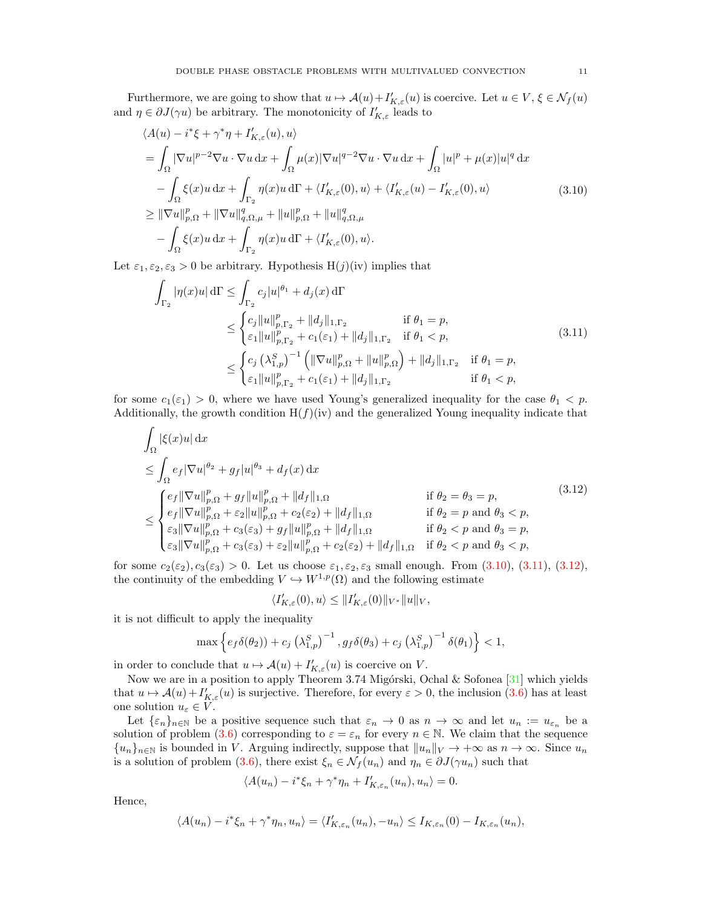Furthermore, we are going to show that  $u \mapsto \mathcal{A}(u) + I'_{K,\varepsilon}(u)$  is coercive. Let  $u \in V, \xi \in \mathcal{N}_f(u)$ and  $\eta \in \partial J(\gamma u)$  be arbitrary. The monotonicity of  $I'_{K,\varepsilon}$  leads to

$$
\langle A(u) - i^*\xi + \gamma^*\eta + I'_{K,\varepsilon}(u), u \rangle
$$
  
\n
$$
= \int_{\Omega} |\nabla u|^{p-2} \nabla u \cdot \nabla u \, dx + \int_{\Omega} \mu(x) |\nabla u|^{q-2} \nabla u \cdot \nabla u \, dx + \int_{\Omega} |u|^p + \mu(x) |u|^q \, dx
$$
  
\n
$$
- \int_{\Omega} \xi(x) u \, dx + \int_{\Gamma_2} \eta(x) u \, d\Gamma + \langle I'_{K,\varepsilon}(0), u \rangle + \langle I'_{K,\varepsilon}(u) - I'_{K,\varepsilon}(0), u \rangle
$$
  
\n
$$
\geq ||\nabla u||_{p,\Omega}^p + ||\nabla u||_{q,\Omega,\mu}^q + ||u||_{p,\Omega}^p + ||u||_{q,\Omega,\mu}^q
$$
  
\n
$$
- \int_{\Omega} \xi(x) u \, dx + \int_{\Gamma_2} \eta(x) u \, d\Gamma + \langle I'_{K,\varepsilon}(0), u \rangle.
$$
\n(3.10)

Let  $\varepsilon_1, \varepsilon_2, \varepsilon_3 > 0$  be arbitrary. Hypothesis H(j)(iv) implies that

<span id="page-10-0"></span>
$$
\int_{\Gamma_2} |\eta(x)u| d\Gamma \le \int_{\Gamma_2} c_j |u|^{\theta_1} + d_j(x) d\Gamma
$$
\n
$$
\le \int_{\Gamma_2} c_j \|u\|_{p, \Gamma_2}^p + \|d_j\|_{1, \Gamma_2} \quad \text{if } \theta_1 = p,
$$
\n
$$
\le \int_{\epsilon_1}^{\epsilon_1} \|u\|_{p, \Gamma_2}^p + c_1(\epsilon_1) + \|d_j\|_{1, \Gamma_2} \quad \text{if } \theta_1 < p,
$$
\n
$$
\le \int_{\epsilon_1}^{\epsilon_2} (\lambda_{1, p}^S)^{-1} \left( \|\nabla u\|_{p, \Omega}^p + \|u\|_{p, \Omega}^p \right) + \|d_j\|_{1, \Gamma_2} \quad \text{if } \theta_1 = p,
$$
\n
$$
\le \int_{\epsilon_1}^{\epsilon_2} |u\|_{p, \Gamma_2}^p + c_1(\epsilon_1) + \|d_j\|_{1, \Gamma_2} \quad \text{if } \theta_1 < p,
$$
\n(3.11)

for some  $c_1(\varepsilon_1) > 0$ , where we have used Young's generalized inequality for the case  $\theta_1 < p$ . Additionally, the growth condition  $H(f)(iv)$  and the generalized Young inequality indicate that

$$
\int_{\Omega} |\xi(x)u| dx
$$
\n
$$
\leq \int_{\Omega} e_f |\nabla u|^{q_2} + g_f |u|^{q_3} + d_f(x) dx
$$
\n
$$
\leq \int_{\Omega} e_f |\nabla u|_{p,\Omega}^{p_1} + g_f ||u||_{p,\Omega}^{p_2} + ||d_f||_{1,\Omega}
$$
\n
$$
\leq \begin{cases}\n e_f ||\nabla u||_{p,\Omega}^{p_1} + g_f ||u||_{p,\Omega}^{p_2} + ||d_f||_{1,\Omega} & \text{if } \theta_2 = \theta_3 = p, \\
 e_f ||\nabla u||_{p,\Omega}^{p_2} + \varepsilon_2 ||u||_{p,\Omega}^{p_2} + c_2(\varepsilon_2) + ||d_f||_{1,\Omega} & \text{if } \theta_2 = p \text{ and } \theta_3 < p, \\
 \varepsilon_3 ||\nabla u||_{p,\Omega}^{p_2} + c_3(\varepsilon_3) + g_f ||u||_{p,\Omega}^{p_2} + ||d_f||_{1,\Omega} & \text{if } \theta_2 < p \text{ and } \theta_3 = p, \\
 \varepsilon_3 ||\nabla u||_{p,\Omega}^{p_2} + c_3(\varepsilon_3) + \varepsilon_2 ||u||_{p,\Omega}^{p_2} + c_2(\varepsilon_2) + ||d_f||_{1,\Omega} & \text{if } \theta_2 < p \text{ and } \theta_3 < p,\n\end{cases}
$$
\n(3.12)

for some  $c_2(\varepsilon_2)$ ,  $c_3(\varepsilon_3) > 0$ . Let us choose  $\varepsilon_1$ ,  $\varepsilon_2$ ,  $\varepsilon_3$  small enough. From [\(3.10\)](#page-10-0), [\(3.11\)](#page-10-1), [\(3.12\)](#page-10-2), the continuity of the embedding  $V \hookrightarrow W^{1,p}(\Omega)$  and the following estimate

<span id="page-10-2"></span><span id="page-10-1"></span>
$$
\langle I'_{K,\varepsilon}(0),u\rangle\leq\|I'_{K,\varepsilon}(0)\|_{V^*}\|u\|_{V},
$$

it is not difficult to apply the inequality

$$
\max \left\{ e_f \delta(\theta_2) \right\} + c_j \left( \lambda_{1,p}^S \right)^{-1}, g_f \delta(\theta_3) + c_j \left( \lambda_{1,p}^S \right)^{-1} \delta(\theta_1) \right\} < 1,
$$

in order to conclude that  $u \mapsto \mathcal{A}(u) + I'_{K,\varepsilon}(u)$  is coercive on V.

Now we are in a position to apply Theorem 3.74 Migórski, Ochal & Sofonea [\[31\]](#page-19-29) which yields that  $u \mapsto \mathcal{A}(u) + I'_{K,\varepsilon}(u)$  is surjective. Therefore, for every  $\varepsilon > 0$ , the inclusion [\(3.6\)](#page-8-3) has at least one solution  $u_{\varepsilon} \in V$ .

Let  $\{\varepsilon_n\}_{n\in\mathbb{N}}$  be a positive sequence such that  $\varepsilon_n \to 0$  as  $n \to \infty$  and let  $u_n := u_{\varepsilon_n}$  be a solution of problem [\(3.6\)](#page-8-3) corresponding to  $\varepsilon = \varepsilon_n$  for every  $n \in \mathbb{N}$ . We claim that the sequence  ${u_n}_{n\in\mathbb{N}}$  is bounded in V. Arguing indirectly, suppose that  $||u_n||_V \to +\infty$  as  $n \to \infty$ . Since  $u_n$ is a solution of problem [\(3.6\)](#page-8-3), there exist  $\xi_n \in \mathcal{N}_f(u_n)$  and  $\eta_n \in \partial J(\gamma u_n)$  such that

$$
\langle A(u_n) - i^*\xi_n + \gamma^*\eta_n + I'_{K,\varepsilon_n}(u_n), u_n \rangle = 0.
$$

Hence,

$$
\langle A(u_n) - i^*\xi_n + \gamma^*\eta_n, u_n \rangle = \langle I'_{K,\varepsilon_n}(u_n), -u_n \rangle \leq I_{K,\varepsilon_n}(0) - I_{K,\varepsilon_n}(u_n),
$$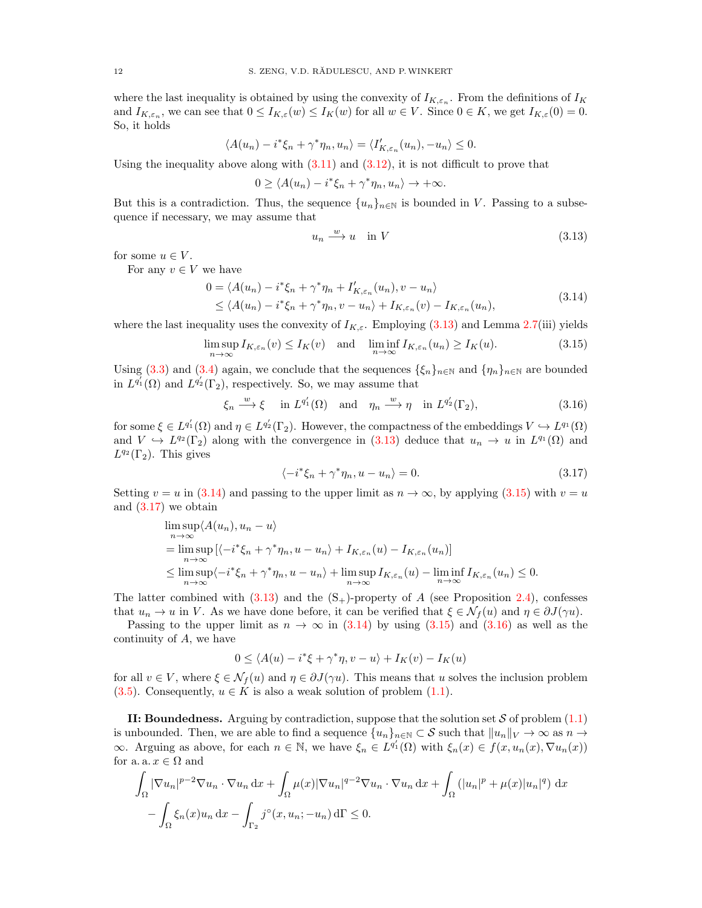where the last inequality is obtained by using the convexity of  $I_{K,\varepsilon_n}$ . From the definitions of  $I_K$ and  $I_{K,\varepsilon_n}$ , we can see that  $0 \leq I_{K,\varepsilon}(w) \leq I_K(w)$  for all  $w \in V$ . Since  $0 \in K$ , we get  $I_{K,\varepsilon}(0) = 0$ . So, it holds

$$
\langle A(u_n) - i^*\xi_n + \gamma^*\eta_n, u_n \rangle = \langle I'_{K,\varepsilon_n}(u_n), -u_n \rangle \leq 0.
$$

Using the inequality above along with  $(3.11)$  and  $(3.12)$ , it is not difficult to prove that

$$
0 \ge \langle A(u_n) - i^* \xi_n + \gamma^* \eta_n, u_n \rangle \to +\infty.
$$

But this is a contradiction. Thus, the sequence  $\{u_n\}_{n\in\mathbb{N}}$  is bounded in V. Passing to a subsequence if necessary, we may assume that

<span id="page-11-2"></span><span id="page-11-1"></span><span id="page-11-0"></span>
$$
u_n \xrightarrow{w} u \quad \text{in } V \tag{3.13}
$$

for some  $u \in V$ .

For any  $v \in V$  we have

$$
0 = \langle A(u_n) - i^*\xi_n + \gamma^*\eta_n + I'_{K,\varepsilon_n}(u_n), v - u_n \rangle
$$
  
\$\leq \langle A(u\_n) - i^\*\xi\_n + \gamma^\*\eta\_n, v - u\_n \rangle + I\_{K,\varepsilon\_n}(v) - I\_{K,\varepsilon\_n}(u\_n),\$ (3.14)

where the last inequality uses the convexity of  $I_{K,\varepsilon}$ . Employing [\(3.13\)](#page-11-0) and Lemma [2.7\(](#page-5-0)iii) yields

$$
\limsup_{n \to \infty} I_{K,\varepsilon_n}(v) \le I_K(v) \quad \text{and} \quad \liminf_{n \to \infty} I_{K,\varepsilon_n}(u_n) \ge I_K(u). \tag{3.15}
$$

Using [\(3.3\)](#page-8-1) and [\(3.4\)](#page-8-2) again, we conclude that the sequences  $\{\xi_n\}_{n\in\mathbb{N}}$  and  $\{\eta_n\}_{n\in\mathbb{N}}$  are bounded in  $L^{q'_1}(\Omega)$  and  $L^{q'_2}(\Gamma_2)$ , respectively. So, we may assume that

$$
\xi_n \xrightarrow{w} \xi \quad \text{in } L^{q'_1}(\Omega) \quad \text{and} \quad \eta_n \xrightarrow{w} \eta \quad \text{in } L^{q'_2}(\Gamma_2), \tag{3.16}
$$

for some  $\xi \in L^{q'_1}(\Omega)$  and  $\eta \in L^{q'_2}(\Gamma_2)$ . However, the compactness of the embeddings  $V \hookrightarrow L^{q_1}(\Omega)$ and  $V \hookrightarrow L^{q_2}(\Gamma_2)$  along with the convergence in [\(3.13\)](#page-11-0) deduce that  $u_n \to u$  in  $L^{q_1}(\Omega)$  and  $L^{q_2}(\Gamma_2)$ . This gives

<span id="page-11-4"></span><span id="page-11-3"></span>
$$
\langle -i^*\xi_n + \gamma^*\eta_n, u - u_n \rangle = 0. \tag{3.17}
$$

Setting  $v = u$  in [\(3.14\)](#page-11-1) and passing to the upper limit as  $n \to \infty$ , by applying [\(3.15\)](#page-11-2) with  $v = u$ and [\(3.17\)](#page-11-3) we obtain

$$
\limsup_{n \to \infty} \langle A(u_n), u_n - u \rangle
$$
  
= 
$$
\limsup_{n \to \infty} \left[ \langle -i^* \xi_n + \gamma^* \eta_n, u - u_n \rangle + I_{K, \varepsilon_n}(u) - I_{K, \varepsilon_n}(u_n) \right]
$$
  

$$
\leq \limsup_{n \to \infty} \langle -i^* \xi_n + \gamma^* \eta_n, u - u_n \rangle + \limsup_{n \to \infty} I_{K, \varepsilon_n}(u) - \liminf_{n \to \infty} I_{K, \varepsilon_n}(u_n) \leq 0.
$$

The latter combined with  $(3.13)$  and the  $(S<sub>+</sub>)$ -property of A (see Proposition [2.4\)](#page-4-2), confesses that  $u_n \to u$  in V. As we have done before, it can be verified that  $\xi \in \mathcal{N}_f(u)$  and  $\eta \in \partial J(\gamma u)$ .

Passing to the upper limit as  $n \to \infty$  in [\(3.14\)](#page-11-1) by using [\(3.15\)](#page-11-2) and [\(3.16\)](#page-11-4) as well as the continuity of A, we have

$$
0 \le \langle A(u) - i^* \xi + \gamma^* \eta, v - u \rangle + I_K(v) - I_K(u)
$$

for all  $v \in V$ , where  $\xi \in \mathcal{N}_f(u)$  and  $\eta \in \partial J(\gamma u)$ . This means that u solves the inclusion problem [\(3.5\)](#page-8-0). Consequently,  $u \in K$  is also a weak solution of problem [\(1.1\)](#page-1-0).

II: Boundedness. Arguing by contradiction, suppose that the solution set  $S$  of problem  $(1.1)$ is unbounded. Then, we are able to find a sequence  $\{u_n\}_{n\in\mathbb{N}}\subset S$  such that  $||u_n||_V \to \infty$  as  $n \to \infty$  $\infty$ . Arguing as above, for each  $n \in \mathbb{N}$ , we have  $\xi_n \in L^{q'_1}(\Omega)$  with  $\xi_n(x) \in f(x, u_n(x), \nabla u_n(x))$ for a. a.  $x \in \Omega$  and

$$
\int_{\Omega} |\nabla u_n|^{p-2} \nabla u_n \cdot \nabla u_n \, dx + \int_{\Omega} \mu(x) |\nabla u_n|^{q-2} \nabla u_n \cdot \nabla u_n \, dx + \int_{\Omega} (|u_n|^p + \mu(x)|u_n|^q) \, dx
$$

$$
- \int_{\Omega} \xi_n(x) u_n \, dx - \int_{\Gamma_2} j^\circ(x, u_n; -u_n) \, d\Gamma \le 0.
$$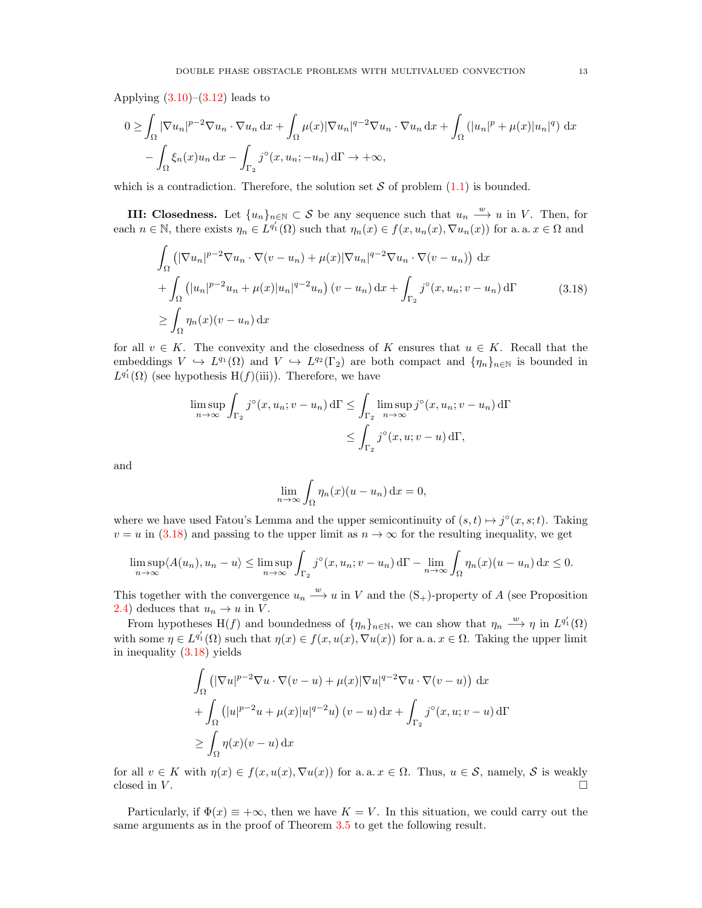Applying  $(3.10)$ – $(3.12)$  leads to

$$
0 \geq \int_{\Omega} |\nabla u_n|^{p-2} \nabla u_n \cdot \nabla u_n \, dx + \int_{\Omega} \mu(x) |\nabla u_n|^{q-2} \nabla u_n \cdot \nabla u_n \, dx + \int_{\Omega} (|u_n|^p + \mu(x)|u_n|^q) \, dx
$$

$$
- \int_{\Omega} \xi_n(x) u_n \, dx - \int_{\Gamma_2} j^\circ(x, u_n; -u_n) \, d\Gamma \to +\infty,
$$

which is a contradiction. Therefore, the solution set  $S$  of problem  $(1.1)$  is bounded.

**III:** Closedness. Let  $\{u_n\}_{n\in\mathbb{N}}\subset\mathcal{S}$  be any sequence such that  $u_n \stackrel{w}{\longrightarrow} u$  in V. Then, for each  $n \in \mathbb{N}$ , there exists  $\eta_n \in L^{q'_1}(\Omega)$  such that  $\eta_n(x) \in f(x, u_n(x), \nabla u_n(x))$  for a. a.  $x \in \Omega$  and

$$
\int_{\Omega} \left( |\nabla u_n|^{p-2} \nabla u_n \cdot \nabla (v - u_n) + \mu(x) |\nabla u_n|^{q-2} \nabla u_n \cdot \nabla (v - u_n) \right) dx
$$
\n
$$
+ \int_{\Omega} \left( |u_n|^{p-2} u_n + \mu(x) |u_n|^{q-2} u_n \right) (v - u_n) dx + \int_{\Gamma_2} j^{\circ}(x, u_n; v - u_n) d\Gamma
$$
\n
$$
\geq \int_{\Omega} \eta_n(x) (v - u_n) dx
$$
\n(3.18)

for all  $v \in K$ . The convexity and the closedness of K ensures that  $u \in K$ . Recall that the embeddings  $V \hookrightarrow L^{q_1}(\Omega)$  and  $V \hookrightarrow L^{q_2}(\Gamma_2)$  are both compact and  $\{\eta_n\}_{n\in\mathbb{N}}$  is bounded in  $L^{q'_1}(\Omega)$  (see hypothesis  $H(f)(iii)$ ). Therefore, we have

$$
\limsup_{n \to \infty} \int_{\Gamma_2} j^{\circ}(x, u_n; v - u_n) d\Gamma \le \int_{\Gamma_2} \limsup_{n \to \infty} j^{\circ}(x, u_n; v - u_n) d\Gamma
$$
  

$$
\le \int_{\Gamma_2} j^{\circ}(x, u; v - u) d\Gamma,
$$

and

<span id="page-12-0"></span>
$$
\lim_{n \to \infty} \int_{\Omega} \eta_n(x) (u - u_n) \, \mathrm{d}x = 0,
$$

where we have used Fatou's Lemma and the upper semicontinuity of  $(s,t) \mapsto j^{\circ}(x,s;t)$ . Taking  $v = u$  in [\(3.18\)](#page-12-0) and passing to the upper limit as  $n \to \infty$  for the resulting inequality, we get

$$
\limsup_{n \to \infty} \langle A(u_n), u_n - u \rangle \le \limsup_{n \to \infty} \int_{\Gamma_2} j^{\circ}(x, u_n; v - u_n) d\Gamma - \lim_{n \to \infty} \int_{\Omega} \eta_n(x) (u - u_n) dx \le 0.
$$

This together with the convergence  $u_n \stackrel{w}{\longrightarrow} u$  in V and the  $(S_+)$ -property of A (see Proposition [2.4\)](#page-4-2) deduces that  $u_n \to u$  in V.

From hypotheses H(f) and boundedness of  $\{\eta_n\}_{n\in\mathbb{N}}$ , we can show that  $\eta_n \stackrel{w}{\longrightarrow} \eta$  in  $L^{q'_1}(\Omega)$ with some  $\eta \in L^{q'_1}(\Omega)$  such that  $\eta(x) \in f(x, u(x), \nabla u(x))$  for a. a.  $x \in \Omega$ . Taking the upper limit in inequality [\(3.18\)](#page-12-0) yields

$$
\int_{\Omega} \left( |\nabla u|^{p-2} \nabla u \cdot \nabla (v - u) + \mu(x) |\nabla u|^{q-2} \nabla u \cdot \nabla (v - u) \right) dx
$$
  
+ 
$$
\int_{\Omega} \left( |u|^{p-2} u + \mu(x) |u|^{q-2} u \right) (v - u) dx + \int_{\Gamma_2} j^{\circ}(x, u; v - u) d\Gamma
$$
  

$$
\geq \int_{\Omega} \eta(x) (v - u) dx
$$

for all  $v \in K$  with  $\eta(x) \in f(x, u(x), \nabla u(x))$  for a. a.  $x \in \Omega$ . Thus,  $u \in \mathcal{S}$ , namely,  $\mathcal{S}$  is weakly closed in  $V$ .

Particularly, if  $\Phi(x) \equiv +\infty$ , then we have  $K = V$ . In this situation, we could carry out the same arguments as in the proof of Theorem [3.5](#page-7-0) to get the following result.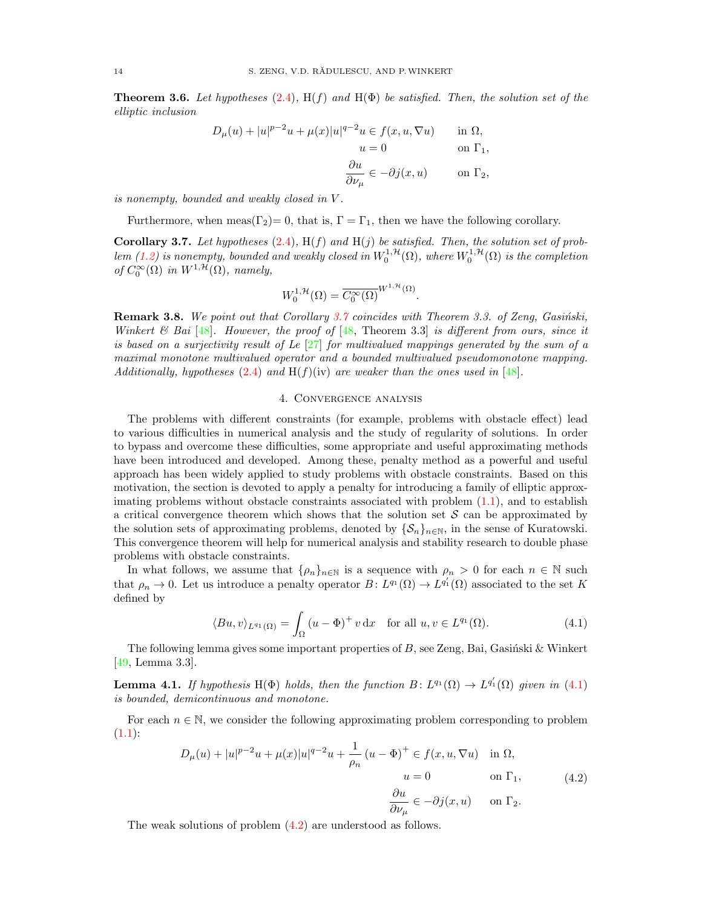**Theorem 3.6.** Let hypotheses [\(2.4\)](#page-3-2),  $H(f)$  and  $H(\Phi)$  be satisfied. Then, the solution set of the elliptic inclusion

$$
D_{\mu}(u) + |u|^{p-2}u + \mu(x)|u|^{q-2}u \in f(x, u, \nabla u) \quad \text{in } \Omega,
$$
  
\n
$$
u = 0 \quad \text{on } \Gamma_1,
$$
  
\n
$$
\frac{\partial u}{\partial \nu_{\mu}} \in -\partial j(x, u) \quad \text{on } \Gamma_2,
$$

is nonempty, bounded and weakly closed in V .

Furthermore, when meas( $\Gamma_2$ )= 0, that is,  $\Gamma = \Gamma_1$ , then we have the following corollary.

<span id="page-13-1"></span>**Corollary 3.7.** Let hypotheses  $(2.4)$ ,  $H(f)$  and  $H(j)$  be satisfied. Then, the solution set of prob-lem [\(1.2\)](#page-1-2) is nonempty, bounded and weakly closed in  $W_0^{1,\mathcal{H}}(\Omega)$ , where  $W_0^{1,\mathcal{H}}(\Omega)$  is the completion of  $C_0^{\infty}(\Omega)$  in  $W^{1,\mathcal{H}}(\Omega)$ , namely,

$$
W_0^{1,\mathcal{H}}(\Omega) = \overline{C_0^{\infty}(\Omega)}^{W^{1,\mathcal{H}}(\Omega)}.
$$

**Remark 3.8.** We point out that Corollary [3.7](#page-13-1) coincides with Theorem 3.3. of Zenq, Gasiński, Winkert & Bai [\[48\]](#page-20-0). However, the proof of [\[48,](#page-20-0) Theorem 3.3] is different from ours, since it is based on a surjectivity result of Le  $[27]$  for multivalued mappings generated by the sum of a maximal monotone multivalued operator and a bounded multivalued pseudomonotone mapping. Additionally, hypotheses [\(2.4\)](#page-3-2) and  $H(f)(iv)$  are weaker than the ones used in [\[48\]](#page-20-0).

## 4. Convergence analysis

<span id="page-13-0"></span>The problems with different constraints (for example, problems with obstacle effect) lead to various difficulties in numerical analysis and the study of regularity of solutions. In order to bypass and overcome these difficulties, some appropriate and useful approximating methods have been introduced and developed. Among these, penalty method as a powerful and useful approach has been widely applied to study problems with obstacle constraints. Based on this motivation, the section is devoted to apply a penalty for introducing a family of elliptic approximating problems without obstacle constraints associated with problem  $(1.1)$ , and to establish a critical convergence theorem which shows that the solution set  $S$  can be approximated by the solution sets of approximating problems, denoted by  $\{S_n\}_{n\in\mathbb{N}}$ , in the sense of Kuratowski. This convergence theorem will help for numerical analysis and stability research to double phase problems with obstacle constraints.

In what follows, we assume that  $\{\rho_n\}_{n\in\mathbb{N}}$  is a sequence with  $\rho_n > 0$  for each  $n \in \mathbb{N}$  such that  $\rho_n \to 0$ . Let us introduce a penalty operator  $B: L^{q_1}(\Omega) \to L^{q'_1}(\Omega)$  associated to the set K defined by

<span id="page-13-2"></span>
$$
\langle Bu, v \rangle_{L^{q_1}(\Omega)} = \int_{\Omega} \left( u - \Phi \right)^+ v \, \mathrm{d}x \quad \text{for all } u, v \in L^{q_1}(\Omega). \tag{4.1}
$$

The following lemma gives some important properties of  $B$ , see Zeng, Bai, Gasiński & Winkert [\[49,](#page-20-7) Lemma 3.3].

<span id="page-13-4"></span>**Lemma 4.1.** If hypothesis H( $\Phi$ ) holds, then the function  $B: L^{q_1}(\Omega) \to L^{q'_1}(\Omega)$  given in [\(4.1\)](#page-13-2) is bounded, demicontinuous and monotone.

For each  $n \in \mathbb{N}$ , we consider the following approximating problem corresponding to problem  $(1.1):$  $(1.1):$ 

<span id="page-13-3"></span>
$$
D_{\mu}(u) + |u|^{p-2}u + \mu(x)|u|^{q-2}u + \frac{1}{\rho_n}(u - \Phi)^+ \in f(x, u, \nabla u) \quad \text{in } \Omega,
$$
  
\n
$$
u = 0 \qquad \text{on } \Gamma_1,
$$
  
\n
$$
\frac{\partial u}{\partial \nu_{\mu}} \in -\partial j(x, u) \qquad \text{on } \Gamma_2.
$$
\n(4.2)

The weak solutions of problem [\(4.2\)](#page-13-3) are understood as follows.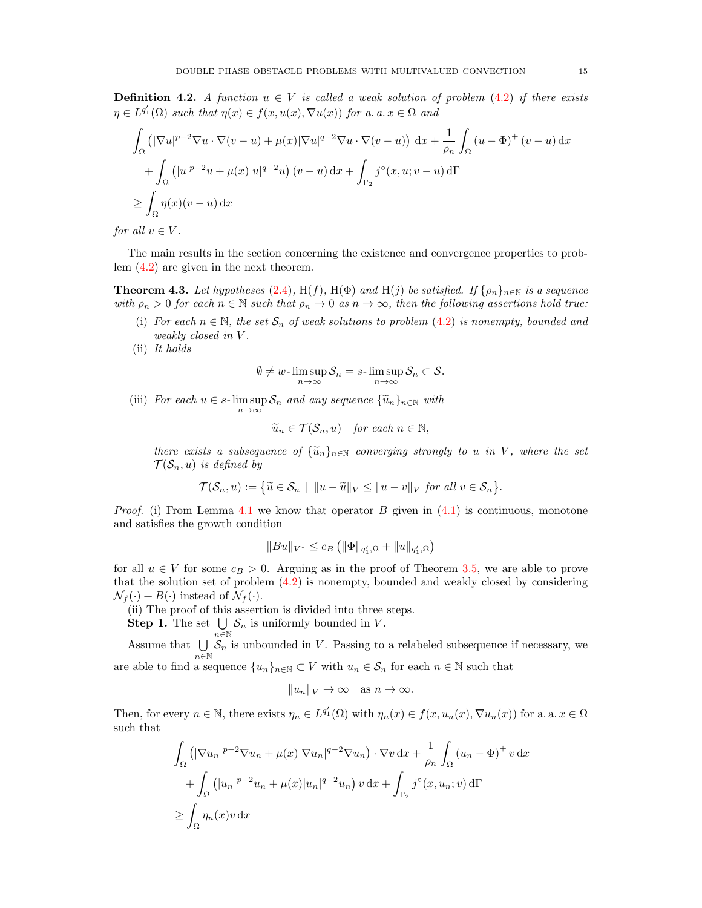**Definition 4.2.** A function  $u \in V$  is called a weak solution of problem [\(4.2\)](#page-13-3) if there exists  $\eta \in L^{q'_1}(\Omega)$  such that  $\eta(x) \in f(x, u(x), \nabla u(x))$  for a. a.  $x \in \Omega$  and

$$
\int_{\Omega} \left( |\nabla u|^{p-2} \nabla u \cdot \nabla (v - u) + \mu(x) |\nabla u|^{q-2} \nabla u \cdot \nabla (v - u) \right) dx + \frac{1}{\rho_n} \int_{\Omega} (u - \Phi)^{+} (v - u) dx
$$
  
+ 
$$
\int_{\Omega} (|u|^{p-2} u + \mu(x)|u|^{q-2} u) (v - u) dx + \int_{\Gamma_2} j^{\circ}(x, u; v - u) d\Gamma
$$
  

$$
\geq \int_{\Omega} \eta(x)(v - u) dx
$$

for all  $v \in V$ .

The main results in the section concerning the existence and convergence properties to problem [\(4.2\)](#page-13-3) are given in the next theorem.

<span id="page-14-0"></span>**Theorem 4.3.** Let hypotheses [\(2.4\)](#page-3-2), H(f), H( $\Phi$ ) and H(j) be satisfied. If  $\{\rho_n\}_{n\in\mathbb{N}}$  is a sequence with  $\rho_n > 0$  for each  $n \in \mathbb{N}$  such that  $\rho_n \to 0$  as  $n \to \infty$ , then the following assertions hold true:

- (i) For each  $n \in \mathbb{N}$ , the set  $S_n$  of weak solutions to problem [\(4.2\)](#page-13-3) is nonempty, bounded and weakly closed in V.
- (ii) It holds

$$
\emptyset \neq w\text{-}\limsup_{n\to\infty} S_n = s\text{-}\limsup_{n\to\infty} S_n \subset S.
$$

(iii) For each  $u \in s$ -lim sup  $S_n$  and any sequence  $\{\widetilde{u}_n\}_{n \in \mathbb{N}}$  with  $n\rightarrow\infty$ 

$$
\widetilde{u}_n \in \mathcal{T}(\mathcal{S}_n, u) \quad \text{for each } n \in \mathbb{N},
$$

there exists a subsequence of  $\{\tilde{u}_n\}_{n\in\mathbb{N}}$  converging strongly to u in V, where the set  $\mathcal{T}(\mathcal{S}_n, u)$  is defined by

$$
\mathcal{T}(\mathcal{S}_n, u) := \left\{ \widetilde{u} \in \mathcal{S}_n \mid ||u - \widetilde{u}||_V \le ||u - v||_V \text{ for all } v \in \mathcal{S}_n \right\}.
$$

*Proof.* (i) From Lemma [4.1](#page-13-4) we know that operator B given in  $(4.1)$  is continuous, monotone and satisfies the growth condition

$$
||Bu||_{V^*} \leq c_B \left( ||\Phi||_{q'_1,\Omega} + ||u||_{q'_1,\Omega} \right)
$$

for all  $u \in V$  for some  $c_B > 0$ . Arguing as in the proof of Theorem [3.5,](#page-7-0) we are able to prove that the solution set of problem [\(4.2\)](#page-13-3) is nonempty, bounded and weakly closed by considering  $\mathcal{N}_f(\cdot) + B(\cdot)$  instead of  $\mathcal{N}_f(\cdot)$ .

(ii) The proof of this assertion is divided into three steps.

Step 1. The set  $\bigcup$  $\bigcup_{n\in\mathbb{N}}\mathcal{S}_n$  is uniformly bounded in V.

Assume that  $\bigcup$  $\bigcup_{n\in\mathbb{N}}\mathcal{S}_n$  is unbounded in V. Passing to a relabeled subsequence if necessary, we

are able to find a sequence  $\{u_n\}_{n\in\mathbb{N}}\subset V$  with  $u_n\in\mathcal{S}_n$  for each  $n\in\mathbb{N}$  such that

$$
||u_n||_V \to \infty \quad \text{as } n \to \infty.
$$

Then, for every  $n \in \mathbb{N}$ , there exists  $\eta_n \in L^{q'_1}(\Omega)$  with  $\eta_n(x) \in f(x, u_n(x), \nabla u_n(x))$  for a. a.  $x \in \Omega$ such that

$$
\int_{\Omega} \left( |\nabla u_n|^{p-2} \nabla u_n + \mu(x) |\nabla u_n|^{q-2} \nabla u_n \right) \cdot \nabla v \, dx + \frac{1}{\rho_n} \int_{\Omega} (u_n - \Phi)^+ v \, dx
$$

$$
+ \int_{\Omega} \left( |u_n|^{p-2} u_n + \mu(x) |u_n|^{q-2} u_n \right) v \, dx + \int_{\Gamma_2} j^\circ(x, u_n; v) \, d\Gamma
$$

$$
\geq \int_{\Omega} \eta_n(x) v \, dx
$$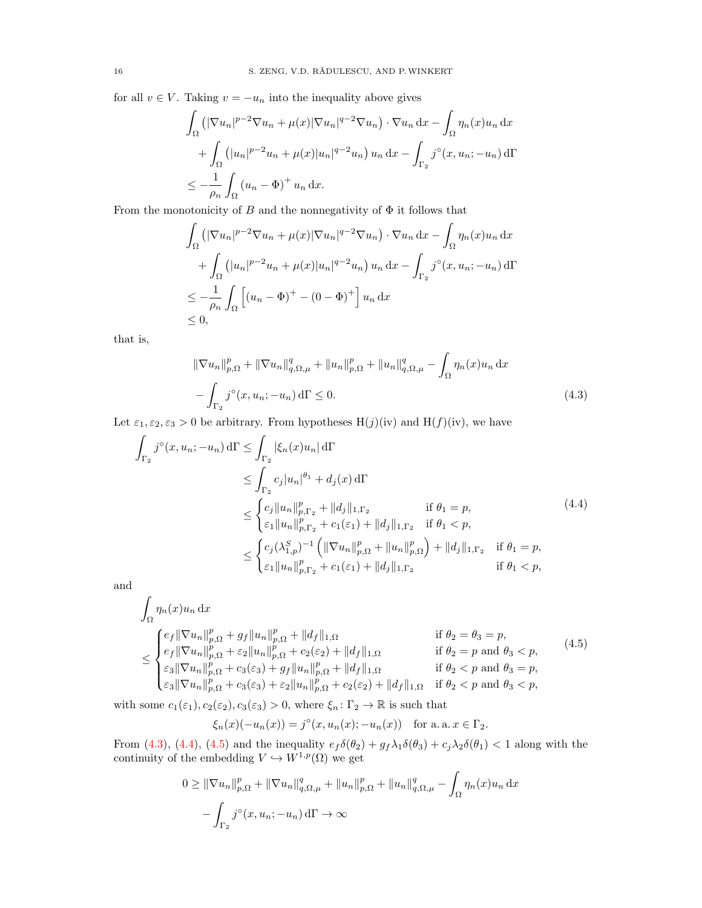for all  $v \in V$ . Taking  $v = -u_n$  into the inequality above gives

$$
\int_{\Omega} \left( |\nabla u_n|^{p-2} \nabla u_n + \mu(x) |\nabla u_n|^{q-2} \nabla u_n \right) \cdot \nabla u_n \, dx - \int_{\Omega} \eta_n(x) u_n \, dx
$$

$$
+ \int_{\Omega} \left( |u_n|^{p-2} u_n + \mu(x) |u_n|^{q-2} u_n \right) u_n \, dx - \int_{\Gamma_2} j^\circ(x, u_n; -u_n) \, d\Gamma
$$

$$
\leq -\frac{1}{\rho_n} \int_{\Omega} (u_n - \Phi)^+ u_n \, dx.
$$

From the monotonicity of B and the nonnegativity of  $\Phi$  it follows that

$$
\int_{\Omega} \left( |\nabla u_n|^{p-2} \nabla u_n + \mu(x) |\nabla u_n|^{q-2} \nabla u_n \right) \cdot \nabla u_n \, dx - \int_{\Omega} \eta_n(x) u_n \, dx
$$

$$
+ \int_{\Omega} \left( |u_n|^{p-2} u_n + \mu(x) |u_n|^{q-2} u_n \right) u_n \, dx - \int_{\Gamma_2} j^\circ(x, u_n; -u_n) \, d\Gamma
$$

$$
\leq -\frac{1}{\rho_n} \int_{\Omega} \left[ (u_n - \Phi)^+ - (0 - \Phi)^+ \right] u_n \, dx
$$

$$
\leq 0,
$$

that is,

<span id="page-15-1"></span><span id="page-15-0"></span>
$$
\|\nabla u_n\|_{p,\Omega}^p + \|\nabla u_n\|_{q,\Omega,\mu}^q + \|u_n\|_{p,\Omega}^p + \|u_n\|_{q,\Omega,\mu}^q - \int_{\Omega} \eta_n(x)u_n \,dx
$$

$$
- \int_{\Gamma_2} j^\circ(x, u_n; -u_n) \,d\Gamma \le 0. \tag{4.3}
$$

Let  $\varepsilon_1, \varepsilon_2, \varepsilon_3 > 0$  be arbitrary. From hypotheses  $H(j)(iv)$  and  $H(f)(iv)$ , we have

$$
\int_{\Gamma_2} j^{\circ}(x, u_n; -u_n) d\Gamma \leq \int_{\Gamma_2} |\xi_n(x)u_n| d\Gamma
$$
\n
$$
\leq \int_{\Gamma_2} c_j |u_n|^{\theta_1} + d_j(x) d\Gamma
$$
\n
$$
\leq \begin{cases} c_j \|u_n\|_{p, \Gamma_2}^p + \|d_j\|_{1, \Gamma_2} & \text{if } \theta_1 = p, \\ \varepsilon_1 \|u_n\|_{p, \Gamma_2}^p + c_1(\varepsilon_1) + \|d_j\|_{1, \Gamma_2} & \text{if } \theta_1 < p, \end{cases} \tag{4.4}
$$
\n
$$
\leq \begin{cases} c_j (\lambda_{1,p}^S)^{-1} \left( \|\nabla u_n\|_{p, \Omega}^p + \|u_n\|_{p, \Omega}^p \right) + \|d_j\|_{1, \Gamma_2} & \text{if } \theta_1 = p, \\ \varepsilon_1 \|u_n\|_{p, \Gamma_2}^p + c_1(\varepsilon_1) + \|d_j\|_{1, \Gamma_2} & \text{if } \theta_1 < p, \end{cases}
$$

and

$$
\int_{\Omega} \eta_n(x) u_n \, dx
$$
\n
$$
\leq \begin{cases}\n e_f \|\nabla u_n\|_{p,\Omega}^p + g_f \|u_n\|_{p,\Omega}^p + \|d_f\|_{1,\Omega} & \text{if } \theta_2 = \theta_3 = p, \\
 e_f \|\nabla u_n\|_{p,\Omega}^p + \varepsilon_2 \|u_n\|_{p,\Omega}^p + c_2(\varepsilon_2) + \|d_f\|_{1,\Omega} & \text{if } \theta_2 = p \text{ and } \theta_3 < p, \\
\varepsilon_3 \|\nabla u_n\|_{p,\Omega}^p + c_3(\varepsilon_3) + g_f \|u_n\|_{p,\Omega}^p + \|d_f\|_{1,\Omega} & \text{if } \theta_2 < p \text{ and } \theta_3 = p, \\
\varepsilon_3 \|\nabla u_n\|_{p,\Omega}^p + c_3(\varepsilon_3) + \varepsilon_2 \|u_n\|_{p,\Omega}^p + c_2(\varepsilon_2) + \|d_f\|_{1,\Omega} & \text{if } \theta_2 < p \text{ and } \theta_3 < p,\n\end{cases}\n\tag{4.5}
$$

with some  $c_1(\varepsilon_1), c_2(\varepsilon_2), c_3(\varepsilon_3) > 0$ , where  $\xi_n: \Gamma_2 \to \mathbb{R}$  is such that

<span id="page-15-2"></span>
$$
\xi_n(x)(-u_n(x)) = j^{\circ}(x, u_n(x); -u_n(x))
$$
 for a. a.  $x \in \Gamma_2$ .

From [\(4.3\)](#page-15-0), [\(4.4\)](#page-15-1), [\(4.5\)](#page-15-2) and the inequality  $e_f\delta(\theta_2) + g_f\lambda_1\delta(\theta_3) + c_j\lambda_2\delta(\theta_1) < 1$  along with the continuity of the embedding  $V \hookrightarrow W^{1,p}(\Omega)$  we get

$$
0 \geq \|\nabla u_n\|_{p,\Omega}^p + \|\nabla u_n\|_{q,\Omega,\mu}^q + \|u_n\|_{p,\Omega}^p + \|u_n\|_{q,\Omega,\mu}^q - \int_{\Omega} \eta_n(x)u_n \,dx
$$

$$
- \int_{\Gamma_2} j^\circ(x, u_n; -u_n) \,d\Gamma \to \infty
$$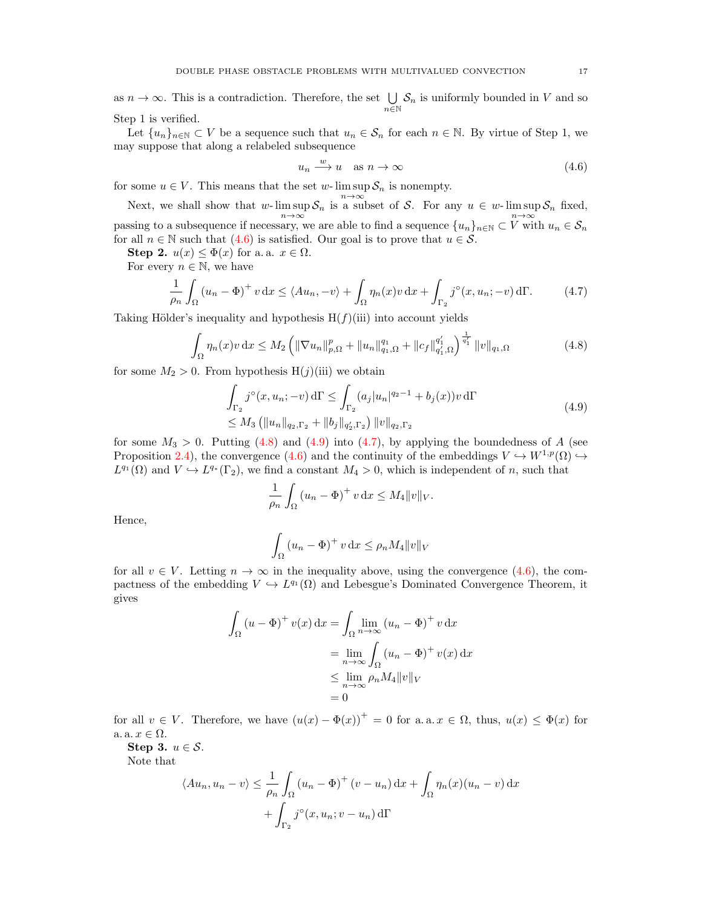as  $n \to \infty$ . This is a contradiction. Therefore, the set  $\bigcup$  $\bigcup_{n\in\mathbb{N}}\mathcal{S}_n$  is uniformly bounded in V and so Step 1 is verified.

Let  $\{u_n\}_{n\in\mathbb{N}}\subset V$  be a sequence such that  $u_n\in\mathcal{S}_n$  for each  $n\in\mathbb{N}$ . By virtue of Step 1, we may suppose that along a relabeled subsequence

<span id="page-16-3"></span><span id="page-16-1"></span><span id="page-16-0"></span>
$$
u_n \xrightarrow{w} u \quad \text{as } n \to \infty \tag{4.6}
$$

for some  $u \in V$ . This means that the set w-  $\limsup S_n$  is nonempty.

Next, we shall show that w- lim sup  $S_n$  is a subset of S. For any  $u \in w$ -lim sup  $S_n$  fixed,  $n \rightarrow \infty$ passing to a subsequence if necessary, we are able to find a sequence  ${u_n}_{n \in \mathbb{N}} \subset V$  with  $u_n \in S_n$ for all  $n \in \mathbb{N}$  such that [\(4.6\)](#page-16-0) is satisfied. Our goal is to prove that  $u \in \mathcal{S}$ .

Step 2.  $u(x) \leq \Phi(x)$  for a. a.  $x \in \Omega$ .

For every  $n \in \mathbb{N}$ , we have

$$
\frac{1}{\rho_n} \int_{\Omega} \left( u_n - \Phi \right)^+ v \, dx \le \langle Au_n, -v \rangle + \int_{\Omega} \eta_n(x) v \, dx + \int_{\Gamma_2} j^\circ(x, u_n; -v) \, d\Gamma. \tag{4.7}
$$

Taking Hölder's inequality and hypothesis  $H(f)(iii)$  into account yields

$$
\int_{\Omega} \eta_n(x)v \, dx \le M_2 \left( \|\nabla u_n\|_{p,\Omega}^p + \|u_n\|_{q_1,\Omega}^{q_1} + \|c_f\|_{q_1',\Omega}^{q_1'} \right)^{\frac{1}{q_1'}} \|v\|_{q_1,\Omega} \tag{4.8}
$$

for some  $M_2 > 0$ . From hypothesis  $H(j)(iii)$  we obtain

$$
\int_{\Gamma_2} j^{\circ}(x, u_n; -v) d\Gamma \le \int_{\Gamma_2} (a_j |u_n|^{q_2 - 1} + b_j(x)) v d\Gamma
$$
\n
$$
\le M_3 \left( \|u_n\|_{q_2, \Gamma_2} + \|b_j\|_{q_2', \Gamma_2} \right) \|v\|_{q_2, \Gamma_2} \tag{4.9}
$$

for some  $M_3 > 0$ . Putting [\(4.8\)](#page-16-1) and [\(4.9\)](#page-16-2) into [\(4.7\)](#page-16-3), by applying the boundedness of A (see Proposition [2.4\)](#page-4-2), the convergence [\(4.6\)](#page-16-0) and the continuity of the embeddings  $V \hookrightarrow W^{1,p}(\Omega) \hookrightarrow$  $L^{q_1}(\Omega)$  and  $V \hookrightarrow L^{q_*}(\Gamma_2)$ , we find a constant  $M_4 > 0$ , which is independent of n, such that

<span id="page-16-2"></span>
$$
\frac{1}{\rho_n} \int_{\Omega} \left( u_n - \Phi \right)^+ v \, \mathrm{d}x \le M_4 \|v\|_V.
$$

Hence,

$$
\int_{\Omega} (u_n - \Phi)^+ v \, dx \le \rho_n M_4 \|v\|_V
$$

for all  $v \in V$ . Letting  $n \to \infty$  in the inequality above, using the convergence [\(4.6\)](#page-16-0), the compactness of the embedding  $V \hookrightarrow L^{q_1}(\Omega)$  and Lebesgue's Dominated Convergence Theorem, it gives

$$
\int_{\Omega} (u - \Phi)^{+} v(x) dx = \int_{\Omega} \lim_{n \to \infty} (u_{n} - \Phi)^{+} v dx
$$

$$
= \lim_{n \to \infty} \int_{\Omega} (u_{n} - \Phi)^{+} v(x) dx
$$

$$
\leq \lim_{n \to \infty} \rho_{n} M_{4} ||v||_{V}
$$

$$
= 0
$$

for all  $v \in V$ . Therefore, we have  $(u(x) - \Phi(x))^+ = 0$  for a.a.  $x \in \Omega$ , thus,  $u(x) \leq \Phi(x)$  for a.  $x \in \Omega$ .

Step 3.  $u \in \mathcal{S}$ .

Note that

$$
\langle Au_n, u_n - v \rangle \le \frac{1}{\rho_n} \int_{\Omega} (u_n - \Phi)^+ (v - u_n) \, dx + \int_{\Omega} \eta_n(x) (u_n - v) \, dx
$$

$$
+ \int_{\Gamma_2} j^\circ(x, u_n; v - u_n) \, d\Gamma
$$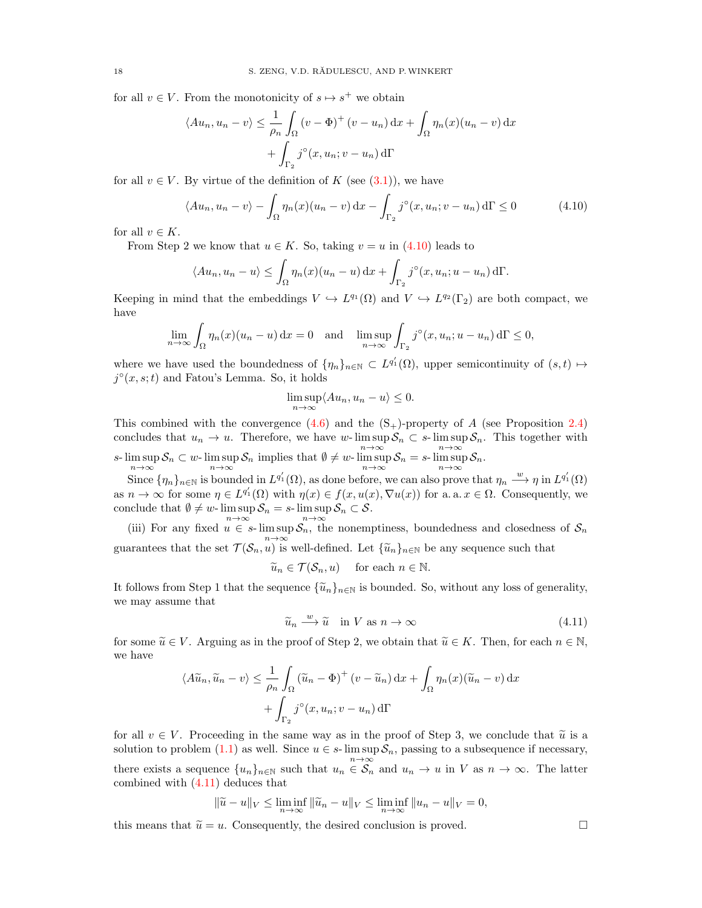for all  $v \in V$ . From the monotonicity of  $s \mapsto s^+$  we obtain

$$
\langle Au_n, u_n - v \rangle \le \frac{1}{\rho_n} \int_{\Omega} (v - \Phi)^+ (v - u_n) \, dx + \int_{\Omega} \eta_n(x) (u_n - v) \, dx
$$

$$
+ \int_{\Gamma_2} j^\circ(x, u_n; v - u_n) \, d\Gamma
$$

for all  $v \in V$ . By virtue of the definition of K (see [\(3.1\)](#page-7-1)), we have

$$
\langle Au_n, u_n - v \rangle - \int_{\Omega} \eta_n(x) (u_n - v) dx - \int_{\Gamma_2} j^\circ(x, u_n; v - u_n) d\Gamma \le 0 \tag{4.10}
$$

for all  $v \in K$ .

From Step 2 we know that  $u \in K$ . So, taking  $v = u$  in [\(4.10\)](#page-17-0) leads to

$$
\langle Au_n, u_n - u \rangle \leq \int_{\Omega} \eta_n(x) (u_n - u) dx + \int_{\Gamma_2} j^{\circ}(x, u_n; u - u_n) d\Gamma.
$$

Keeping in mind that the embeddings  $V \hookrightarrow L^{q_1}(\Omega)$  and  $V \hookrightarrow L^{q_2}(\Gamma_2)$  are both compact, we have

$$
\lim_{n \to \infty} \int_{\Omega} \eta_n(x) (u_n - u) \, dx = 0 \quad \text{and} \quad \limsup_{n \to \infty} \int_{\Gamma_2} j^\circ(x, u_n; u - u_n) \, d\Gamma \le 0,
$$

where we have used the boundedness of  $\{\eta_n\}_{n\in\mathbb{N}}\subset L^{q'_1}(\Omega)$ , upper semicontinuity of  $(s,t)\mapsto$  $j^{\circ}(x, s; t)$  and Fatou's Lemma. So, it holds

<span id="page-17-0"></span>
$$
\limsup_{n \to \infty} \langle Au_n, u_n - u \rangle \le 0.
$$

This combined with the convergence  $(4.6)$  and the  $(S<sub>+</sub>)$ -property of A (see Proposition [2.4\)](#page-4-2) concludes that  $u_n \to u$ . Therefore, we have w-lim sup  $S_n \subset s$ -lim sup  $S_n$ . This together with s- $\limsup_{n\to\infty} S_n \subset w$ - $\limsup_{n\to\infty} S_n$  implies that  $\emptyset \neq w$ - $\limsup_{n\to\infty} S_n = s$ - $\limsup_{n\to\infty} S_n$ .

Since  $\{\eta_n\}_{n\in\mathbb{N}}$  is bounded in  $L^{q'_1}(\Omega)$ , as done before, we can also prove that  $\eta_n \stackrel{w}{\longrightarrow} \eta$  in  $L^{q'_1}(\Omega)$ as  $n \to \infty$  for some  $\eta \in L^{q'_1}(\Omega)$  with  $\eta(x) \in f(x, u(x), \nabla u(x))$  for a. a.  $x \in \Omega$ . Consequently, we conclude that  $\emptyset \neq w$ -  $\limsup S_n = s$ -  $\limsup S_n \subset S$ .

(iii) For any fixed  $u \in s$ - lim sup  $S_n$ , the nonemptiness, boundedness and closedness of  $S_n$ guarantees that the set  $\mathcal{T}(\mathcal{S}_n, u)$  is well-defined. Let  $\{\widetilde{u}_n\}_{n\in\mathbb{N}}$  be any sequence such that

$$
\widetilde{u}_n \in \mathcal{T}(\mathcal{S}_n, u)
$$
 for each  $n \in \mathbb{N}$ .

It follows from Step 1 that the sequence  $\{\tilde{u}_n\}_{n\in\mathbb{N}}$  is bounded. So, without any loss of generality, we may assume that

 $\widetilde{u}_n \xrightarrow{w} \widetilde{u} \quad \text{in } V \text{ as } n \to \infty$ (4.11)

for some  $\widetilde{u} \in V$ . Arguing as in the proof of Step 2, we obtain that  $\widetilde{u} \in K$ . Then, for each  $n \in \mathbb{N}$ , we have

$$
\langle A\widetilde{u}_n, \widetilde{u}_n - v \rangle \le \frac{1}{\rho_n} \int_{\Omega} \left( \widetilde{u}_n - \Phi \right)^+ (v - \widetilde{u}_n) \, dx + \int_{\Omega} \eta_n(x) (\widetilde{u}_n - v) \, dx + \int_{\Gamma_2} j^\circ(x, u_n; v - u_n) \, d\Gamma
$$

for all  $v \in V$ . Proceeding in the same way as in the proof of Step 3, we conclude that  $\tilde{u}$  is a solution to problem  $(1.1)$  as well. Since  $u \in s$ - lim sup  $S_n$ , passing to a subsequence if necessary, there exists a sequence  ${u_n}_{n \in \mathbb{N}}$  such that  $u_n \in \mathcal{S}_n$  and  $u_n \to u$  in V as  $n \to \infty$ . The latter combined with [\(4.11\)](#page-17-1) deduces that

$$
\|\tilde{u} - u\|_{V} \le \liminf_{n \to \infty} \|\tilde{u}_n - u\|_{V} \le \liminf_{n \to \infty} \|u_n - u\|_{V} = 0,
$$

this means that  $\tilde{u} = u$ . Consequently, the desired conclusion is proved.

<span id="page-17-1"></span>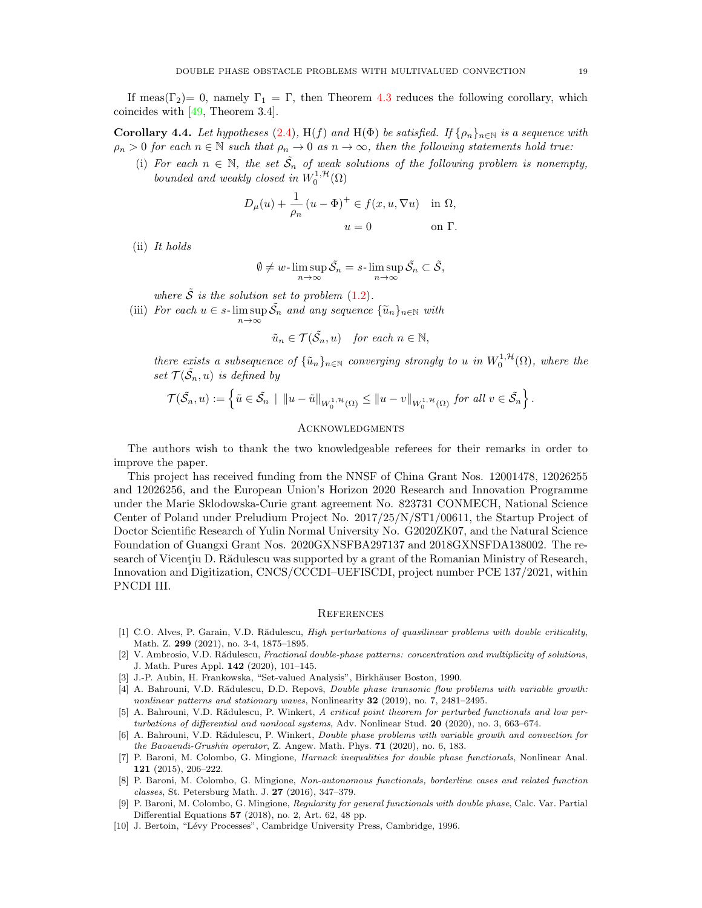If meas( $\Gamma_2$ )= 0, namely  $\Gamma_1 = \Gamma$ , then Theorem [4.3](#page-14-0) reduces the following corollary, which coincides with [\[49,](#page-20-7) Theorem 3.4].

**Corollary 4.4.** Let hypotheses [\(2.4\)](#page-3-2), H(f) and H( $\Phi$ ) be satisfied. If  $\{\rho_n\}_{n\in\mathbb{N}}$  is a sequence with  $\rho_n > 0$  for each  $n \in \mathbb{N}$  such that  $\rho_n \to 0$  as  $n \to \infty$ , then the following statements hold true:

(i) For each  $n \in \mathbb{N}$ , the set  $\tilde{S}_n$  of weak solutions of the following problem is nonempty, bounded and weakly closed in  $W_0^{1,\mathcal{H}}(\Omega)$ 

$$
D_{\mu}(u) + \frac{1}{\rho_n} (u - \Phi)^+ \in f(x, u, \nabla u) \quad \text{in } \Omega,
$$
  

$$
u = 0 \qquad \text{on } \Gamma.
$$

(ii) It holds

$$
\emptyset \neq w\text{-}\limsup_{n\to\infty} \tilde{\mathcal{S}}_n = s\text{-}\limsup_{n\to\infty} \tilde{\mathcal{S}}_n \subset \tilde{\mathcal{S}},
$$

where  $\tilde{S}$  is the solution set to problem [\(1.2\)](#page-1-2).

(iii) For each  $u \in s$ - $\limsup_{n \to \infty} \tilde{S_n}$  and any sequence  $\{\tilde{u}_n\}_{n \in \mathbb{N}}$  with

$$
\tilde{u}_n \in \mathcal{T}(\tilde{\mathcal{S}}_n, u) \quad \text{for each } n \in \mathbb{N},
$$

there exists a subsequence of  $\{\tilde{u}_n\}_{n\in\mathbb{N}}$  converging strongly to u in  $W_0^{1,\mathcal{H}}(\Omega)$ , where the set  $\mathcal{T}(\tilde{\mathcal{S}_n},u)$  is defined by

$$
\mathcal{T}(\tilde{\mathcal{S}}_n, u) := \left\{ \tilde{u} \in \tilde{\mathcal{S}}_n \: \mid \: \|u - \tilde{u}\|_{W_0^{1, \mathcal{H}}(\Omega)} \leq \|u - v\|_{W_0^{1, \mathcal{H}}(\Omega)} \text{ for all } v \in \tilde{\mathcal{S}}_n \right\}.
$$

### **ACKNOWLEDGMENTS**

The authors wish to thank the two knowledgeable referees for their remarks in order to improve the paper.

This project has received funding from the NNSF of China Grant Nos. 12001478, 12026255 and 12026256, and the European Union's Horizon 2020 Research and Innovation Programme under the Marie Sklodowska-Curie grant agreement No. 823731 CONMECH, National Science Center of Poland under Preludium Project No. 2017/25/N/ST1/00611, the Startup Project of Doctor Scientific Research of Yulin Normal University No. G2020ZK07, and the Natural Science Foundation of Guangxi Grant Nos. 2020GXNSFBA297137 and 2018GXNSFDA138002. The research of Vicentiu D. Rădulescu was supported by a grant of the Romanian Ministry of Research, Innovation and Digitization, CNCS/CCCDI–UEFISCDI, project number PCE 137/2021, within PNCDI III.

#### **REFERENCES**

- <span id="page-18-2"></span>[1] C.O. Alves, P. Garain, V.D. Rădulescu, High perturbations of quasilinear problems with double criticality, Math. Z. 299 (2021), no. 3-4, 1875–1895.
- <span id="page-18-3"></span>[2] V. Ambrosio, V.D. Rădulescu, Fractional double-phase patterns: concentration and multiplicity of solutions, J. Math. Pures Appl. 142 (2020), 101–145.
- <span id="page-18-9"></span>[3] J.-P. Aubin, H. Frankowska, "Set-valued Analysis", Birkhäuser Boston, 1990.
- <span id="page-18-0"></span>[4] A. Bahrouni, V.D. Rădulescu, D.D. Repovš, *Double phase transonic flow problems with variable growth:* nonlinear patterns and stationary waves, Nonlinearity 32 (2019), no. 7, 2481–2495.
- <span id="page-18-4"></span>[5] A. Bahrouni, V.D. Rădulescu, P. Winkert, A critical point theorem for perturbed functionals and low perturbations of differential and nonlocal systems, Adv. Nonlinear Stud. 20 (2020), no. 3, 663–674.
- <span id="page-18-5"></span>[6] A. Bahrouni, V.D. Rădulescu, P. Winkert, Double phase problems with variable growth and convection for the Baouendi-Grushin operator, Z. Angew. Math. Phys. 71 (2020), no. 6, 183.
- <span id="page-18-6"></span>[7] P. Baroni, M. Colombo, G. Mingione, Harnack inequalities for double phase functionals, Nonlinear Anal. 121 (2015), 206–222.
- <span id="page-18-7"></span>[8] P. Baroni, M. Colombo, G. Mingione, Non-autonomous functionals, borderline cases and related function classes, St. Petersburg Math. J. 27 (2016), 347–379.
- <span id="page-18-8"></span>[9] P. Baroni, M. Colombo, G. Mingione, Regularity for general functionals with double phase, Calc. Var. Partial Differential Equations 57 (2018), no. 2, Art. 62, 48 pp.
- <span id="page-18-1"></span>[10] J. Bertoin, "Lévy Processes", Cambridge University Press, Cambridge, 1996.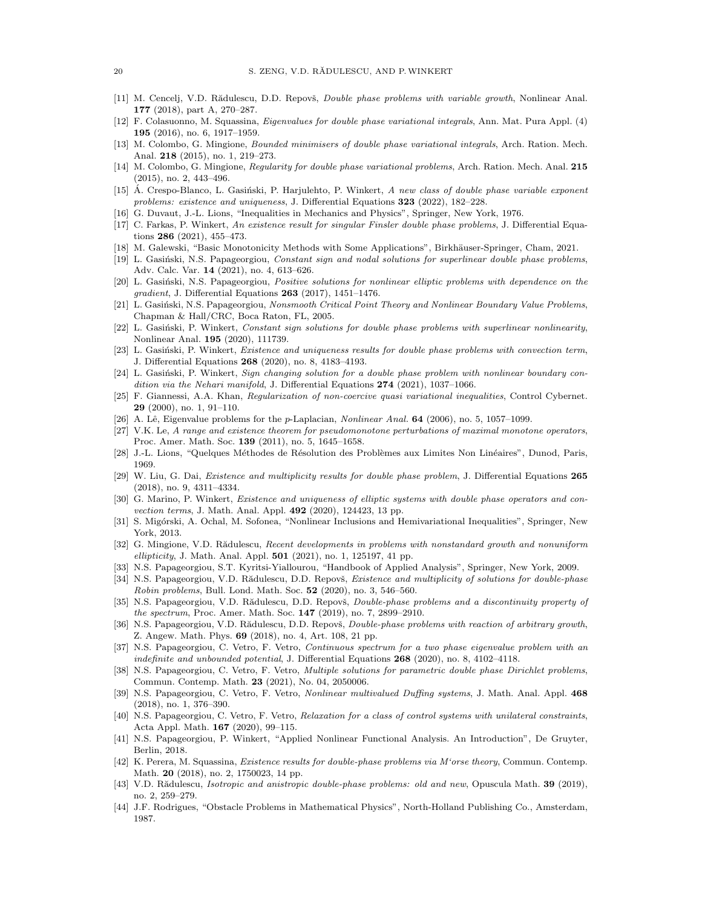- <span id="page-19-5"></span>[11] M. Cencelj, V.D. Rădulescu, D.D. Repovš, Double phase problems with variable growth, Nonlinear Anal. 177 (2018), part A, 270–287.
- <span id="page-19-6"></span>[12] F. Colasuonno, M. Squassina, Eigenvalues for double phase variational integrals, Ann. Mat. Pura Appl. (4) 195 (2016), no. 6, 1917–1959.
- <span id="page-19-7"></span>[13] M. Colombo, G. Mingione, Bounded minimisers of double phase variational integrals, Arch. Ration. Mech. Anal. 218 (2015), no. 1, 219–273.
- <span id="page-19-8"></span>[14] M. Colombo, G. Mingione, Regularity for double phase variational problems, Arch. Ration. Mech. Anal. 215 (2015), no. 2, 443–496.
- <span id="page-19-28"></span>[15] A. Crespo-Blanco, L. Gasiński, P. Harjulehto, P. Winkert, A new class of double phase variable exponent problems: existence and uniqueness, J. Differential Equations 323 (2022), 182–228.
- <span id="page-19-1"></span>[16] G. Duvaut, J.-L. Lions, "Inequalities in Mechanics and Physics", Springer, New York, 1976.
- <span id="page-19-9"></span>[17] C. Farkas, P. Winkert, An existence result for singular Finsler double phase problems, J. Differential Equations 286 (2021), 455–473.
- <span id="page-19-24"></span>[18] M. Galewski, "Basic Monotonicity Methods with Some Applications", Birkhäuser-Springer, Cham, 2021.
- <span id="page-19-10"></span>[19] L. Gasiński, N.S. Papageorgiou, Constant sign and nodal solutions for superlinear double phase problems, Adv. Calc. Var. 14 (2021), no. 4, 613–626.
- <span id="page-19-11"></span>[20] L. Gasiński, N.S. Papageorgiou, *Positive solutions for nonlinear elliptic problems with dependence on the*  $gradient$ , J. Differential Equations 263 (2017), 1451–1476.
- <span id="page-19-12"></span>[21] L. Gasiński, N.S. Papageorgiou, Nonsmooth Critical Point Theory and Nonlinear Boundary Value Problems, Chapman & Hall/CRC, Boca Raton, FL, 2005.
- <span id="page-19-13"></span>[22] L. Gasiński, P. Winkert, Constant sign solutions for double phase problems with superlinear nonlinearity, Nonlinear Anal. 195 (2020), 111739.
- <span id="page-19-3"></span>[23] L. Gasiński, P. Winkert, Existence and uniqueness results for double phase problems with convection term, J. Differential Equations 268 (2020), no. 8, 4183–4193.
- <span id="page-19-14"></span>[24] L. Gasiński, P. Winkert, Sign changing solution for a double phase problem with nonlinear boundary condition via the Nehari manifold, J. Differential Equations  $274$  (2021), 1037–1066.
- <span id="page-19-31"></span>[25] F. Giannessi, A.A. Khan, Regularization of non-coercive quasi variational inequalities, Control Cybernet. 29 (2000), no. 1, 91–110.
- <span id="page-19-27"></span>[26] A. Lê, Eigenvalue problems for the p-Laplacian, *Nonlinear Anal.* **64** (2006), no. 5, 1057–1099.
- <span id="page-19-33"></span>[27] V.K. Le, A range and existence theorem for pseudomonotone perturbations of maximal monotone operators, Proc. Amer. Math. Soc. 139 (2011), no. 5, 1645–1658.
- <span id="page-19-0"></span>[28] J.-L. Lions, "Quelques Méthodes de Résolution des Problèmes aux Limites Non Linéaires", Dunod, Paris, 1969.
- <span id="page-19-15"></span>[29] W. Liu, G. Dai, Existence and multiplicity results for double phase problem, J. Differential Equations 265 (2018), no. 9, 4311–4334.
- <span id="page-19-16"></span>[30] G. Marino, P. Winkert, Existence and uniqueness of elliptic systems with double phase operators and convection terms, J. Math. Anal. Appl. **492** (2020), 124423, 13 pp.
- <span id="page-19-29"></span>[31] S. Migórski, A. Ochal, M. Sofonea, "Nonlinear Inclusions and Hemivariational Inequalities", Springer, New York, 2013.
- <span id="page-19-26"></span>[32] G. Mingione, V.D. Rădulescu, Recent developments in problems with nonstandard growth and nonuniform ellipticity, J. Math. Anal. Appl. **501** (2021), no. 1, 125197, 41 pp.
- <span id="page-19-30"></span>[33] N.S. Papageorgiou, S.T. Kyritsi-Yiallourou, "Handbook of Applied Analysis", Springer, New York, 2009.
- <span id="page-19-4"></span>[34] N.S. Papageorgiou, V.D. Rădulescu, D.D. Repovš, Existence and multiplicity of solutions for double-phase Robin problems, Bull. Lond. Math. Soc. 52 (2020), no. 3, 546–560.
- <span id="page-19-17"></span>[35] N.S. Papageorgiou, V.D. Rădulescu, D.D. Repovš, *Double-phase problems and a discontinuity property of* the spectrum, Proc. Amer. Math. Soc. 147 (2019), no. 7, 2899–2910.
- <span id="page-19-18"></span>[36] N.S. Papageorgiou, V.D. Rădulescu, D.D. Repovš, Double-phase problems with reaction of arbitrary growth, Z. Angew. Math. Phys. 69 (2018), no. 4, Art. 108, 21 pp.
- <span id="page-19-19"></span>[37] N.S. Papageorgiou, C. Vetro, F. Vetro, Continuous spectrum for a two phase eigenvalue problem with an indefinite and unbounded potential, J. Differential Equations  $268$  (2020), no. 8, 4102-4118.
- <span id="page-19-20"></span>[38] N.S. Papageorgiou, C. Vetro, F. Vetro, Multiple solutions for parametric double phase Dirichlet problems, Commun. Contemp. Math. 23 (2021), No. 04, 2050006.
- <span id="page-19-32"></span>[39] N.S. Papageorgiou, C. Vetro, F. Vetro, Nonlinear multivalued Duffing systems, J. Math. Anal. Appl. 468 (2018), no. 1, 376–390.
- <span id="page-19-21"></span>[40] N.S. Papageorgiou, C. Vetro, F. Vetro, Relaxation for a class of control systems with unilateral constraints, Acta Appl. Math. 167 (2020), 99–115.
- <span id="page-19-25"></span>[41] N.S. Papageorgiou, P. Winkert, "Applied Nonlinear Functional Analysis. An Introduction", De Gruyter, Berlin, 2018.
- <span id="page-19-22"></span>[42] K. Perera, M. Squassina, Existence results for double-phase problems via M'orse theory, Commun. Contemp. Math. 20 (2018), no. 2, 1750023, 14 pp.
- <span id="page-19-23"></span>[43] V.D. Rădulescu, *Isotropic and anistropic double-phase problems: old and new*, Opuscula Math. **39** (2019), no. 2, 259–279.
- <span id="page-19-2"></span>[44] J.F. Rodrigues, "Obstacle Problems in Mathematical Physics", North-Holland Publishing Co., Amsterdam, 1987.